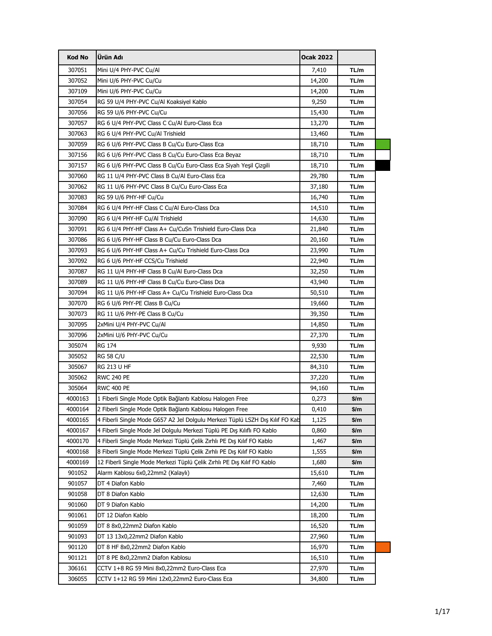| 307051<br>Mini U/4 PHY-PVC Cu/Al<br>7,410<br>TL/m<br>307052<br>TL/m<br>Mini U/6 PHY-PVC Cu/Cu<br>14,200<br>307109<br>TL/m<br>Mini U/6 PHY-PVC Cu/Cu<br>14,200<br>307054<br>RG 59 U/4 PHY-PVC Cu/Al Koaksiyel Kablo<br>9,250<br>TL/m<br>307056<br>RG 59 U/6 PHY-PVC Cu/Cu<br>15,430<br>TL/m<br>307057<br>RG 6 U/4 PHY-PVC Class C Cu/Al Euro-Class Eca<br>TL/m<br>13,270<br>TL/m<br>307063<br>RG 6 U/4 PHY-PVC Cu/Al Trishield<br>13,460<br>307059<br>RG 6 U/6 PHY-PVC Class B Cu/Cu Euro-Class Eca<br>TL/m<br>18,710<br>307156<br>RG 6 U/6 PHY-PVC Class B Cu/Cu Euro-Class Eca Beyaz<br>TL/m<br>18,710<br>307157<br>RG 6 U/6 PHY-PVC Class B Cu/Cu Euro-Class Eca Siyah Yeşil Çizgili<br>TL/m<br>18,710<br>307060<br>RG 11 U/4 PHY-PVC Class B Cu/Al Euro-Class Eca<br>29,780<br>TL/m<br>307062<br>TL/m<br>RG 11 U/6 PHY-PVC Class B Cu/Cu Euro-Class Eca<br>37,180<br>307083<br>TL/m<br>RG 59 U/6 PHY-HF Cu/Cu<br>16,740<br>307084<br>RG 6 U/4 PHY-HF Class C Cu/Al Euro-Class Dca<br>TL/m<br>14,510<br>307090<br>RG 6 U/4 PHY-HF Cu/Al Trishield<br>14,630<br>TL/m<br>307091<br>RG 6 U/4 PHY-HF Class A+ Cu/CuSn Trishield Euro-Class Dca<br>TL/m<br>21,840<br>TL/m<br>307086<br>RG 6 U/6 PHY-HF Class B Cu/Cu Euro-Class Dca<br>20,160<br>307093<br>RG 6 U/6 PHY-HF Class A+ Cu/Cu Trishield Euro-Class Dca<br>TL/m<br>23,990<br>307092<br>RG 6 U/6 PHY-HF CCS/Cu Trishield<br>TL/m<br>22,940<br>307087<br>RG 11 U/4 PHY-HF Class B Cu/Al Euro-Class Dca<br>32,250<br>TL/m<br>307089<br>RG 11 U/6 PHY-HF Class B Cu/Cu Euro-Class Dca<br>43,940<br>TL/m<br>TL/m<br>307094<br>RG 11 U/6 PHY-HF Class A+ Cu/Cu Trishield Euro-Class Dca<br>50,510<br>307070<br>RG 6 U/6 PHY-PE Class B Cu/Cu<br>TL/m<br>19,660<br>307073<br>RG 11 U/6 PHY-PE Class B Cu/Cu<br>TL/m<br>39,350<br>307095<br>2xMini U/4 PHY-PVC Cu/Al<br>TL/m<br>14,850<br>TL/m<br>307096<br>2xMini U/6 PHY-PVC Cu/Cu<br>27,370<br>TL/m<br>305074<br>RG 174<br>9,930<br>305052<br><b>RG 58 C/U</b><br>TL/m<br>22,530<br>305067<br>RG 213 U HF<br>TL/m<br>84,310<br>305062<br><b>RWC 240 PE</b><br>37,220<br>TL/m<br>305064<br><b>RWC 400 PE</b><br>TL/m<br>94,160<br>4000163<br>1 Fiberli Single Mode Optik Bağlantı Kablosu Halogen Free<br>\$/m<br>0,273<br>2 Fiberli Single Mode Optik Bağlantı Kablosu Halogen Free<br>4000164<br>0,410<br>\$/m<br>4000165<br>4 Fiberli Single Mode G657 A2 Jel Dolgulu Merkezi Tüplü LSZH Dış Kılıf FO Kab<br>1,125<br>\$/m<br>4000167<br>4 Fiberli Single Mode Jel Dolgulu Merkezi Tüplü PE Dış Kılıflı FO Kablo<br>0,860<br>\$/m<br>4000170<br>4 Fiberli Single Mode Merkezi Tüplü Çelik Zırhlı PE Dış Kılıf FO Kablo<br>1,467<br>\$/m<br>4000168<br>\$/m<br>8 Fiberli Single Mode Merkezi Tüplü Çelik Zırhlı PE Dış Kılıf FO Kablo<br>1,555<br>4000169<br>12 Fiberli Single Mode Merkezi Tüplü Çelik Zırhlı PE Dış Kılıf FO Kablo<br>\$/m<br>1,680<br>901052<br>Alarm Kablosu 6x0,22mm2 (Kalaylı)<br>15,610<br>TL/m<br>901057<br>DT 4 Diafon Kablo<br>7,460<br>TL/m<br>TL/m<br>901058<br>DT 8 Diafon Kablo<br>12,630<br>901060<br>TL/m<br>DT 9 Diafon Kablo<br>14,200<br>901061<br>TL/m<br>DT 12 Diafon Kablo<br>18,200<br>901059<br>DT 8 8x0,22mm2 Diafon Kablo<br>16,520<br>TL/m<br>901093<br>DT 13 13x0,22mm2 Diafon Kablo<br>27,960<br>TL/m<br>901120<br>TL/m<br>DT 8 HF 8x0,22mm2 Diafon Kablo<br>16,970<br>TL/m<br>901121<br>DT 8 PE 8x0,22mm2 Diafon Kablosu<br>16,510<br>306161<br>CCTV 1+8 RG 59 Mini 8x0,22mm2 Euro-Class Eca<br>27,970<br>TL/m<br>306055<br>CCTV 1+12 RG 59 Mini 12x0,22mm2 Euro-Class Eca<br>34,800<br>TL/m | <b>Kod No</b> | Ürün Adı | Ocak 2022 |  |
|------------------------------------------------------------------------------------------------------------------------------------------------------------------------------------------------------------------------------------------------------------------------------------------------------------------------------------------------------------------------------------------------------------------------------------------------------------------------------------------------------------------------------------------------------------------------------------------------------------------------------------------------------------------------------------------------------------------------------------------------------------------------------------------------------------------------------------------------------------------------------------------------------------------------------------------------------------------------------------------------------------------------------------------------------------------------------------------------------------------------------------------------------------------------------------------------------------------------------------------------------------------------------------------------------------------------------------------------------------------------------------------------------------------------------------------------------------------------------------------------------------------------------------------------------------------------------------------------------------------------------------------------------------------------------------------------------------------------------------------------------------------------------------------------------------------------------------------------------------------------------------------------------------------------------------------------------------------------------------------------------------------------------------------------------------------------------------------------------------------------------------------------------------------------------------------------------------------------------------------------------------------------------------------------------------------------------------------------------------------------------------------------------------------------------------------------------------------------------------------------------------------------------------------------------------------------------------------------------------------------------------------------------------------------------------------------------------------------------------------------------------------------------------------------------------------------------------------------------------------------------------------------------------------------------------------------------------------------------------------------------------------------------------------------------------------------------------------------------------------------------------------------------------------------------------------------------------------------------------------------------------------------------------------------------------------------------------------------------------------------------------------------------------------------------------------------------------------------------------------------------------------------------------------------|---------------|----------|-----------|--|
|                                                                                                                                                                                                                                                                                                                                                                                                                                                                                                                                                                                                                                                                                                                                                                                                                                                                                                                                                                                                                                                                                                                                                                                                                                                                                                                                                                                                                                                                                                                                                                                                                                                                                                                                                                                                                                                                                                                                                                                                                                                                                                                                                                                                                                                                                                                                                                                                                                                                                                                                                                                                                                                                                                                                                                                                                                                                                                                                                                                                                                                                                                                                                                                                                                                                                                                                                                                                                                                                                                                                                |               |          |           |  |
|                                                                                                                                                                                                                                                                                                                                                                                                                                                                                                                                                                                                                                                                                                                                                                                                                                                                                                                                                                                                                                                                                                                                                                                                                                                                                                                                                                                                                                                                                                                                                                                                                                                                                                                                                                                                                                                                                                                                                                                                                                                                                                                                                                                                                                                                                                                                                                                                                                                                                                                                                                                                                                                                                                                                                                                                                                                                                                                                                                                                                                                                                                                                                                                                                                                                                                                                                                                                                                                                                                                                                |               |          |           |  |
|                                                                                                                                                                                                                                                                                                                                                                                                                                                                                                                                                                                                                                                                                                                                                                                                                                                                                                                                                                                                                                                                                                                                                                                                                                                                                                                                                                                                                                                                                                                                                                                                                                                                                                                                                                                                                                                                                                                                                                                                                                                                                                                                                                                                                                                                                                                                                                                                                                                                                                                                                                                                                                                                                                                                                                                                                                                                                                                                                                                                                                                                                                                                                                                                                                                                                                                                                                                                                                                                                                                                                |               |          |           |  |
|                                                                                                                                                                                                                                                                                                                                                                                                                                                                                                                                                                                                                                                                                                                                                                                                                                                                                                                                                                                                                                                                                                                                                                                                                                                                                                                                                                                                                                                                                                                                                                                                                                                                                                                                                                                                                                                                                                                                                                                                                                                                                                                                                                                                                                                                                                                                                                                                                                                                                                                                                                                                                                                                                                                                                                                                                                                                                                                                                                                                                                                                                                                                                                                                                                                                                                                                                                                                                                                                                                                                                |               |          |           |  |
|                                                                                                                                                                                                                                                                                                                                                                                                                                                                                                                                                                                                                                                                                                                                                                                                                                                                                                                                                                                                                                                                                                                                                                                                                                                                                                                                                                                                                                                                                                                                                                                                                                                                                                                                                                                                                                                                                                                                                                                                                                                                                                                                                                                                                                                                                                                                                                                                                                                                                                                                                                                                                                                                                                                                                                                                                                                                                                                                                                                                                                                                                                                                                                                                                                                                                                                                                                                                                                                                                                                                                |               |          |           |  |
|                                                                                                                                                                                                                                                                                                                                                                                                                                                                                                                                                                                                                                                                                                                                                                                                                                                                                                                                                                                                                                                                                                                                                                                                                                                                                                                                                                                                                                                                                                                                                                                                                                                                                                                                                                                                                                                                                                                                                                                                                                                                                                                                                                                                                                                                                                                                                                                                                                                                                                                                                                                                                                                                                                                                                                                                                                                                                                                                                                                                                                                                                                                                                                                                                                                                                                                                                                                                                                                                                                                                                |               |          |           |  |
|                                                                                                                                                                                                                                                                                                                                                                                                                                                                                                                                                                                                                                                                                                                                                                                                                                                                                                                                                                                                                                                                                                                                                                                                                                                                                                                                                                                                                                                                                                                                                                                                                                                                                                                                                                                                                                                                                                                                                                                                                                                                                                                                                                                                                                                                                                                                                                                                                                                                                                                                                                                                                                                                                                                                                                                                                                                                                                                                                                                                                                                                                                                                                                                                                                                                                                                                                                                                                                                                                                                                                |               |          |           |  |
|                                                                                                                                                                                                                                                                                                                                                                                                                                                                                                                                                                                                                                                                                                                                                                                                                                                                                                                                                                                                                                                                                                                                                                                                                                                                                                                                                                                                                                                                                                                                                                                                                                                                                                                                                                                                                                                                                                                                                                                                                                                                                                                                                                                                                                                                                                                                                                                                                                                                                                                                                                                                                                                                                                                                                                                                                                                                                                                                                                                                                                                                                                                                                                                                                                                                                                                                                                                                                                                                                                                                                |               |          |           |  |
|                                                                                                                                                                                                                                                                                                                                                                                                                                                                                                                                                                                                                                                                                                                                                                                                                                                                                                                                                                                                                                                                                                                                                                                                                                                                                                                                                                                                                                                                                                                                                                                                                                                                                                                                                                                                                                                                                                                                                                                                                                                                                                                                                                                                                                                                                                                                                                                                                                                                                                                                                                                                                                                                                                                                                                                                                                                                                                                                                                                                                                                                                                                                                                                                                                                                                                                                                                                                                                                                                                                                                |               |          |           |  |
|                                                                                                                                                                                                                                                                                                                                                                                                                                                                                                                                                                                                                                                                                                                                                                                                                                                                                                                                                                                                                                                                                                                                                                                                                                                                                                                                                                                                                                                                                                                                                                                                                                                                                                                                                                                                                                                                                                                                                                                                                                                                                                                                                                                                                                                                                                                                                                                                                                                                                                                                                                                                                                                                                                                                                                                                                                                                                                                                                                                                                                                                                                                                                                                                                                                                                                                                                                                                                                                                                                                                                |               |          |           |  |
|                                                                                                                                                                                                                                                                                                                                                                                                                                                                                                                                                                                                                                                                                                                                                                                                                                                                                                                                                                                                                                                                                                                                                                                                                                                                                                                                                                                                                                                                                                                                                                                                                                                                                                                                                                                                                                                                                                                                                                                                                                                                                                                                                                                                                                                                                                                                                                                                                                                                                                                                                                                                                                                                                                                                                                                                                                                                                                                                                                                                                                                                                                                                                                                                                                                                                                                                                                                                                                                                                                                                                |               |          |           |  |
|                                                                                                                                                                                                                                                                                                                                                                                                                                                                                                                                                                                                                                                                                                                                                                                                                                                                                                                                                                                                                                                                                                                                                                                                                                                                                                                                                                                                                                                                                                                                                                                                                                                                                                                                                                                                                                                                                                                                                                                                                                                                                                                                                                                                                                                                                                                                                                                                                                                                                                                                                                                                                                                                                                                                                                                                                                                                                                                                                                                                                                                                                                                                                                                                                                                                                                                                                                                                                                                                                                                                                |               |          |           |  |
|                                                                                                                                                                                                                                                                                                                                                                                                                                                                                                                                                                                                                                                                                                                                                                                                                                                                                                                                                                                                                                                                                                                                                                                                                                                                                                                                                                                                                                                                                                                                                                                                                                                                                                                                                                                                                                                                                                                                                                                                                                                                                                                                                                                                                                                                                                                                                                                                                                                                                                                                                                                                                                                                                                                                                                                                                                                                                                                                                                                                                                                                                                                                                                                                                                                                                                                                                                                                                                                                                                                                                |               |          |           |  |
|                                                                                                                                                                                                                                                                                                                                                                                                                                                                                                                                                                                                                                                                                                                                                                                                                                                                                                                                                                                                                                                                                                                                                                                                                                                                                                                                                                                                                                                                                                                                                                                                                                                                                                                                                                                                                                                                                                                                                                                                                                                                                                                                                                                                                                                                                                                                                                                                                                                                                                                                                                                                                                                                                                                                                                                                                                                                                                                                                                                                                                                                                                                                                                                                                                                                                                                                                                                                                                                                                                                                                |               |          |           |  |
|                                                                                                                                                                                                                                                                                                                                                                                                                                                                                                                                                                                                                                                                                                                                                                                                                                                                                                                                                                                                                                                                                                                                                                                                                                                                                                                                                                                                                                                                                                                                                                                                                                                                                                                                                                                                                                                                                                                                                                                                                                                                                                                                                                                                                                                                                                                                                                                                                                                                                                                                                                                                                                                                                                                                                                                                                                                                                                                                                                                                                                                                                                                                                                                                                                                                                                                                                                                                                                                                                                                                                |               |          |           |  |
|                                                                                                                                                                                                                                                                                                                                                                                                                                                                                                                                                                                                                                                                                                                                                                                                                                                                                                                                                                                                                                                                                                                                                                                                                                                                                                                                                                                                                                                                                                                                                                                                                                                                                                                                                                                                                                                                                                                                                                                                                                                                                                                                                                                                                                                                                                                                                                                                                                                                                                                                                                                                                                                                                                                                                                                                                                                                                                                                                                                                                                                                                                                                                                                                                                                                                                                                                                                                                                                                                                                                                |               |          |           |  |
|                                                                                                                                                                                                                                                                                                                                                                                                                                                                                                                                                                                                                                                                                                                                                                                                                                                                                                                                                                                                                                                                                                                                                                                                                                                                                                                                                                                                                                                                                                                                                                                                                                                                                                                                                                                                                                                                                                                                                                                                                                                                                                                                                                                                                                                                                                                                                                                                                                                                                                                                                                                                                                                                                                                                                                                                                                                                                                                                                                                                                                                                                                                                                                                                                                                                                                                                                                                                                                                                                                                                                |               |          |           |  |
|                                                                                                                                                                                                                                                                                                                                                                                                                                                                                                                                                                                                                                                                                                                                                                                                                                                                                                                                                                                                                                                                                                                                                                                                                                                                                                                                                                                                                                                                                                                                                                                                                                                                                                                                                                                                                                                                                                                                                                                                                                                                                                                                                                                                                                                                                                                                                                                                                                                                                                                                                                                                                                                                                                                                                                                                                                                                                                                                                                                                                                                                                                                                                                                                                                                                                                                                                                                                                                                                                                                                                |               |          |           |  |
|                                                                                                                                                                                                                                                                                                                                                                                                                                                                                                                                                                                                                                                                                                                                                                                                                                                                                                                                                                                                                                                                                                                                                                                                                                                                                                                                                                                                                                                                                                                                                                                                                                                                                                                                                                                                                                                                                                                                                                                                                                                                                                                                                                                                                                                                                                                                                                                                                                                                                                                                                                                                                                                                                                                                                                                                                                                                                                                                                                                                                                                                                                                                                                                                                                                                                                                                                                                                                                                                                                                                                |               |          |           |  |
|                                                                                                                                                                                                                                                                                                                                                                                                                                                                                                                                                                                                                                                                                                                                                                                                                                                                                                                                                                                                                                                                                                                                                                                                                                                                                                                                                                                                                                                                                                                                                                                                                                                                                                                                                                                                                                                                                                                                                                                                                                                                                                                                                                                                                                                                                                                                                                                                                                                                                                                                                                                                                                                                                                                                                                                                                                                                                                                                                                                                                                                                                                                                                                                                                                                                                                                                                                                                                                                                                                                                                |               |          |           |  |
|                                                                                                                                                                                                                                                                                                                                                                                                                                                                                                                                                                                                                                                                                                                                                                                                                                                                                                                                                                                                                                                                                                                                                                                                                                                                                                                                                                                                                                                                                                                                                                                                                                                                                                                                                                                                                                                                                                                                                                                                                                                                                                                                                                                                                                                                                                                                                                                                                                                                                                                                                                                                                                                                                                                                                                                                                                                                                                                                                                                                                                                                                                                                                                                                                                                                                                                                                                                                                                                                                                                                                |               |          |           |  |
|                                                                                                                                                                                                                                                                                                                                                                                                                                                                                                                                                                                                                                                                                                                                                                                                                                                                                                                                                                                                                                                                                                                                                                                                                                                                                                                                                                                                                                                                                                                                                                                                                                                                                                                                                                                                                                                                                                                                                                                                                                                                                                                                                                                                                                                                                                                                                                                                                                                                                                                                                                                                                                                                                                                                                                                                                                                                                                                                                                                                                                                                                                                                                                                                                                                                                                                                                                                                                                                                                                                                                |               |          |           |  |
|                                                                                                                                                                                                                                                                                                                                                                                                                                                                                                                                                                                                                                                                                                                                                                                                                                                                                                                                                                                                                                                                                                                                                                                                                                                                                                                                                                                                                                                                                                                                                                                                                                                                                                                                                                                                                                                                                                                                                                                                                                                                                                                                                                                                                                                                                                                                                                                                                                                                                                                                                                                                                                                                                                                                                                                                                                                                                                                                                                                                                                                                                                                                                                                                                                                                                                                                                                                                                                                                                                                                                |               |          |           |  |
|                                                                                                                                                                                                                                                                                                                                                                                                                                                                                                                                                                                                                                                                                                                                                                                                                                                                                                                                                                                                                                                                                                                                                                                                                                                                                                                                                                                                                                                                                                                                                                                                                                                                                                                                                                                                                                                                                                                                                                                                                                                                                                                                                                                                                                                                                                                                                                                                                                                                                                                                                                                                                                                                                                                                                                                                                                                                                                                                                                                                                                                                                                                                                                                                                                                                                                                                                                                                                                                                                                                                                |               |          |           |  |
|                                                                                                                                                                                                                                                                                                                                                                                                                                                                                                                                                                                                                                                                                                                                                                                                                                                                                                                                                                                                                                                                                                                                                                                                                                                                                                                                                                                                                                                                                                                                                                                                                                                                                                                                                                                                                                                                                                                                                                                                                                                                                                                                                                                                                                                                                                                                                                                                                                                                                                                                                                                                                                                                                                                                                                                                                                                                                                                                                                                                                                                                                                                                                                                                                                                                                                                                                                                                                                                                                                                                                |               |          |           |  |
|                                                                                                                                                                                                                                                                                                                                                                                                                                                                                                                                                                                                                                                                                                                                                                                                                                                                                                                                                                                                                                                                                                                                                                                                                                                                                                                                                                                                                                                                                                                                                                                                                                                                                                                                                                                                                                                                                                                                                                                                                                                                                                                                                                                                                                                                                                                                                                                                                                                                                                                                                                                                                                                                                                                                                                                                                                                                                                                                                                                                                                                                                                                                                                                                                                                                                                                                                                                                                                                                                                                                                |               |          |           |  |
|                                                                                                                                                                                                                                                                                                                                                                                                                                                                                                                                                                                                                                                                                                                                                                                                                                                                                                                                                                                                                                                                                                                                                                                                                                                                                                                                                                                                                                                                                                                                                                                                                                                                                                                                                                                                                                                                                                                                                                                                                                                                                                                                                                                                                                                                                                                                                                                                                                                                                                                                                                                                                                                                                                                                                                                                                                                                                                                                                                                                                                                                                                                                                                                                                                                                                                                                                                                                                                                                                                                                                |               |          |           |  |
|                                                                                                                                                                                                                                                                                                                                                                                                                                                                                                                                                                                                                                                                                                                                                                                                                                                                                                                                                                                                                                                                                                                                                                                                                                                                                                                                                                                                                                                                                                                                                                                                                                                                                                                                                                                                                                                                                                                                                                                                                                                                                                                                                                                                                                                                                                                                                                                                                                                                                                                                                                                                                                                                                                                                                                                                                                                                                                                                                                                                                                                                                                                                                                                                                                                                                                                                                                                                                                                                                                                                                |               |          |           |  |
|                                                                                                                                                                                                                                                                                                                                                                                                                                                                                                                                                                                                                                                                                                                                                                                                                                                                                                                                                                                                                                                                                                                                                                                                                                                                                                                                                                                                                                                                                                                                                                                                                                                                                                                                                                                                                                                                                                                                                                                                                                                                                                                                                                                                                                                                                                                                                                                                                                                                                                                                                                                                                                                                                                                                                                                                                                                                                                                                                                                                                                                                                                                                                                                                                                                                                                                                                                                                                                                                                                                                                |               |          |           |  |
|                                                                                                                                                                                                                                                                                                                                                                                                                                                                                                                                                                                                                                                                                                                                                                                                                                                                                                                                                                                                                                                                                                                                                                                                                                                                                                                                                                                                                                                                                                                                                                                                                                                                                                                                                                                                                                                                                                                                                                                                                                                                                                                                                                                                                                                                                                                                                                                                                                                                                                                                                                                                                                                                                                                                                                                                                                                                                                                                                                                                                                                                                                                                                                                                                                                                                                                                                                                                                                                                                                                                                |               |          |           |  |
|                                                                                                                                                                                                                                                                                                                                                                                                                                                                                                                                                                                                                                                                                                                                                                                                                                                                                                                                                                                                                                                                                                                                                                                                                                                                                                                                                                                                                                                                                                                                                                                                                                                                                                                                                                                                                                                                                                                                                                                                                                                                                                                                                                                                                                                                                                                                                                                                                                                                                                                                                                                                                                                                                                                                                                                                                                                                                                                                                                                                                                                                                                                                                                                                                                                                                                                                                                                                                                                                                                                                                |               |          |           |  |
|                                                                                                                                                                                                                                                                                                                                                                                                                                                                                                                                                                                                                                                                                                                                                                                                                                                                                                                                                                                                                                                                                                                                                                                                                                                                                                                                                                                                                                                                                                                                                                                                                                                                                                                                                                                                                                                                                                                                                                                                                                                                                                                                                                                                                                                                                                                                                                                                                                                                                                                                                                                                                                                                                                                                                                                                                                                                                                                                                                                                                                                                                                                                                                                                                                                                                                                                                                                                                                                                                                                                                |               |          |           |  |
|                                                                                                                                                                                                                                                                                                                                                                                                                                                                                                                                                                                                                                                                                                                                                                                                                                                                                                                                                                                                                                                                                                                                                                                                                                                                                                                                                                                                                                                                                                                                                                                                                                                                                                                                                                                                                                                                                                                                                                                                                                                                                                                                                                                                                                                                                                                                                                                                                                                                                                                                                                                                                                                                                                                                                                                                                                                                                                                                                                                                                                                                                                                                                                                                                                                                                                                                                                                                                                                                                                                                                |               |          |           |  |
|                                                                                                                                                                                                                                                                                                                                                                                                                                                                                                                                                                                                                                                                                                                                                                                                                                                                                                                                                                                                                                                                                                                                                                                                                                                                                                                                                                                                                                                                                                                                                                                                                                                                                                                                                                                                                                                                                                                                                                                                                                                                                                                                                                                                                                                                                                                                                                                                                                                                                                                                                                                                                                                                                                                                                                                                                                                                                                                                                                                                                                                                                                                                                                                                                                                                                                                                                                                                                                                                                                                                                |               |          |           |  |
|                                                                                                                                                                                                                                                                                                                                                                                                                                                                                                                                                                                                                                                                                                                                                                                                                                                                                                                                                                                                                                                                                                                                                                                                                                                                                                                                                                                                                                                                                                                                                                                                                                                                                                                                                                                                                                                                                                                                                                                                                                                                                                                                                                                                                                                                                                                                                                                                                                                                                                                                                                                                                                                                                                                                                                                                                                                                                                                                                                                                                                                                                                                                                                                                                                                                                                                                                                                                                                                                                                                                                |               |          |           |  |
|                                                                                                                                                                                                                                                                                                                                                                                                                                                                                                                                                                                                                                                                                                                                                                                                                                                                                                                                                                                                                                                                                                                                                                                                                                                                                                                                                                                                                                                                                                                                                                                                                                                                                                                                                                                                                                                                                                                                                                                                                                                                                                                                                                                                                                                                                                                                                                                                                                                                                                                                                                                                                                                                                                                                                                                                                                                                                                                                                                                                                                                                                                                                                                                                                                                                                                                                                                                                                                                                                                                                                |               |          |           |  |
|                                                                                                                                                                                                                                                                                                                                                                                                                                                                                                                                                                                                                                                                                                                                                                                                                                                                                                                                                                                                                                                                                                                                                                                                                                                                                                                                                                                                                                                                                                                                                                                                                                                                                                                                                                                                                                                                                                                                                                                                                                                                                                                                                                                                                                                                                                                                                                                                                                                                                                                                                                                                                                                                                                                                                                                                                                                                                                                                                                                                                                                                                                                                                                                                                                                                                                                                                                                                                                                                                                                                                |               |          |           |  |
|                                                                                                                                                                                                                                                                                                                                                                                                                                                                                                                                                                                                                                                                                                                                                                                                                                                                                                                                                                                                                                                                                                                                                                                                                                                                                                                                                                                                                                                                                                                                                                                                                                                                                                                                                                                                                                                                                                                                                                                                                                                                                                                                                                                                                                                                                                                                                                                                                                                                                                                                                                                                                                                                                                                                                                                                                                                                                                                                                                                                                                                                                                                                                                                                                                                                                                                                                                                                                                                                                                                                                |               |          |           |  |
|                                                                                                                                                                                                                                                                                                                                                                                                                                                                                                                                                                                                                                                                                                                                                                                                                                                                                                                                                                                                                                                                                                                                                                                                                                                                                                                                                                                                                                                                                                                                                                                                                                                                                                                                                                                                                                                                                                                                                                                                                                                                                                                                                                                                                                                                                                                                                                                                                                                                                                                                                                                                                                                                                                                                                                                                                                                                                                                                                                                                                                                                                                                                                                                                                                                                                                                                                                                                                                                                                                                                                |               |          |           |  |
|                                                                                                                                                                                                                                                                                                                                                                                                                                                                                                                                                                                                                                                                                                                                                                                                                                                                                                                                                                                                                                                                                                                                                                                                                                                                                                                                                                                                                                                                                                                                                                                                                                                                                                                                                                                                                                                                                                                                                                                                                                                                                                                                                                                                                                                                                                                                                                                                                                                                                                                                                                                                                                                                                                                                                                                                                                                                                                                                                                                                                                                                                                                                                                                                                                                                                                                                                                                                                                                                                                                                                |               |          |           |  |
|                                                                                                                                                                                                                                                                                                                                                                                                                                                                                                                                                                                                                                                                                                                                                                                                                                                                                                                                                                                                                                                                                                                                                                                                                                                                                                                                                                                                                                                                                                                                                                                                                                                                                                                                                                                                                                                                                                                                                                                                                                                                                                                                                                                                                                                                                                                                                                                                                                                                                                                                                                                                                                                                                                                                                                                                                                                                                                                                                                                                                                                                                                                                                                                                                                                                                                                                                                                                                                                                                                                                                |               |          |           |  |
|                                                                                                                                                                                                                                                                                                                                                                                                                                                                                                                                                                                                                                                                                                                                                                                                                                                                                                                                                                                                                                                                                                                                                                                                                                                                                                                                                                                                                                                                                                                                                                                                                                                                                                                                                                                                                                                                                                                                                                                                                                                                                                                                                                                                                                                                                                                                                                                                                                                                                                                                                                                                                                                                                                                                                                                                                                                                                                                                                                                                                                                                                                                                                                                                                                                                                                                                                                                                                                                                                                                                                |               |          |           |  |
|                                                                                                                                                                                                                                                                                                                                                                                                                                                                                                                                                                                                                                                                                                                                                                                                                                                                                                                                                                                                                                                                                                                                                                                                                                                                                                                                                                                                                                                                                                                                                                                                                                                                                                                                                                                                                                                                                                                                                                                                                                                                                                                                                                                                                                                                                                                                                                                                                                                                                                                                                                                                                                                                                                                                                                                                                                                                                                                                                                                                                                                                                                                                                                                                                                                                                                                                                                                                                                                                                                                                                |               |          |           |  |
|                                                                                                                                                                                                                                                                                                                                                                                                                                                                                                                                                                                                                                                                                                                                                                                                                                                                                                                                                                                                                                                                                                                                                                                                                                                                                                                                                                                                                                                                                                                                                                                                                                                                                                                                                                                                                                                                                                                                                                                                                                                                                                                                                                                                                                                                                                                                                                                                                                                                                                                                                                                                                                                                                                                                                                                                                                                                                                                                                                                                                                                                                                                                                                                                                                                                                                                                                                                                                                                                                                                                                |               |          |           |  |
|                                                                                                                                                                                                                                                                                                                                                                                                                                                                                                                                                                                                                                                                                                                                                                                                                                                                                                                                                                                                                                                                                                                                                                                                                                                                                                                                                                                                                                                                                                                                                                                                                                                                                                                                                                                                                                                                                                                                                                                                                                                                                                                                                                                                                                                                                                                                                                                                                                                                                                                                                                                                                                                                                                                                                                                                                                                                                                                                                                                                                                                                                                                                                                                                                                                                                                                                                                                                                                                                                                                                                |               |          |           |  |
|                                                                                                                                                                                                                                                                                                                                                                                                                                                                                                                                                                                                                                                                                                                                                                                                                                                                                                                                                                                                                                                                                                                                                                                                                                                                                                                                                                                                                                                                                                                                                                                                                                                                                                                                                                                                                                                                                                                                                                                                                                                                                                                                                                                                                                                                                                                                                                                                                                                                                                                                                                                                                                                                                                                                                                                                                                                                                                                                                                                                                                                                                                                                                                                                                                                                                                                                                                                                                                                                                                                                                |               |          |           |  |
|                                                                                                                                                                                                                                                                                                                                                                                                                                                                                                                                                                                                                                                                                                                                                                                                                                                                                                                                                                                                                                                                                                                                                                                                                                                                                                                                                                                                                                                                                                                                                                                                                                                                                                                                                                                                                                                                                                                                                                                                                                                                                                                                                                                                                                                                                                                                                                                                                                                                                                                                                                                                                                                                                                                                                                                                                                                                                                                                                                                                                                                                                                                                                                                                                                                                                                                                                                                                                                                                                                                                                |               |          |           |  |
|                                                                                                                                                                                                                                                                                                                                                                                                                                                                                                                                                                                                                                                                                                                                                                                                                                                                                                                                                                                                                                                                                                                                                                                                                                                                                                                                                                                                                                                                                                                                                                                                                                                                                                                                                                                                                                                                                                                                                                                                                                                                                                                                                                                                                                                                                                                                                                                                                                                                                                                                                                                                                                                                                                                                                                                                                                                                                                                                                                                                                                                                                                                                                                                                                                                                                                                                                                                                                                                                                                                                                |               |          |           |  |
|                                                                                                                                                                                                                                                                                                                                                                                                                                                                                                                                                                                                                                                                                                                                                                                                                                                                                                                                                                                                                                                                                                                                                                                                                                                                                                                                                                                                                                                                                                                                                                                                                                                                                                                                                                                                                                                                                                                                                                                                                                                                                                                                                                                                                                                                                                                                                                                                                                                                                                                                                                                                                                                                                                                                                                                                                                                                                                                                                                                                                                                                                                                                                                                                                                                                                                                                                                                                                                                                                                                                                |               |          |           |  |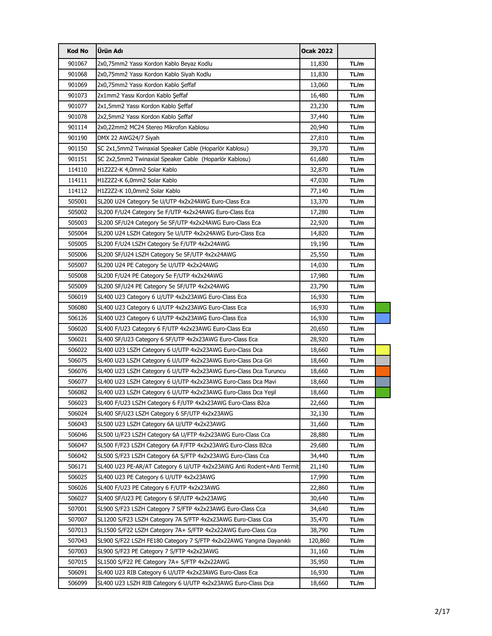| <b>Kod No</b> | Ürün Adı                                                              | <b>Ocak 2022</b> |      |  |
|---------------|-----------------------------------------------------------------------|------------------|------|--|
| 901067        | 2x0,75mm2 Yassı Kordon Kablo Beyaz Kodlu                              | 11,830           | TL/m |  |
| 901068        | 2x0,75mm2 Yassı Kordon Kablo Siyah Kodlu                              | 11,830           | TL/m |  |
| 901069        | 2x0,75mm2 Yassı Kordon Kablo Şeffaf                                   | 13,060           | TL/m |  |
| 901073        | 2x1mm2 Yassı Kordon Kablo Şeffaf                                      | 16,480           | TL/m |  |
| 901077        | 2x1,5mm2 Yassı Kordon Kablo Şeffaf                                    | 23,230           | TL/m |  |
| 901078        | 2x2,5mm2 Yassı Kordon Kablo Şeffaf                                    | 37,440           | TL/m |  |
| 901114        | 2x0,22mm2 MC24 Stereo Mikrofon Kablosu                                | 20,940           | TL/m |  |
| 901190        | DMX 22 AWG24/7 Siyah                                                  | 27,810           | TL/m |  |
| 901150        | SC 2x1,5mm2 Twinaxial Speaker Cable (Hoparlör Kablosu)                | 39,370           | TL/m |  |
| 901151        | SC 2x2,5mm2 Twinaxial Speaker Cable (Hoparlör Kablosu)                | 61,680           | TL/m |  |
| 114110        | H1Z2Z2-K 4,0mm2 Solar Kablo                                           | 32,870           | TL/m |  |
| 114111        | H1Z2Z2-K 6,0mm2 Solar Kablo                                           | 47,030           | TL/m |  |
| 114112        | H1Z2Z2-K 10,0mm2 Solar Kablo                                          | 77,140           | TL/m |  |
| 505001        | SL200 U24 Category 5e U/UTP 4x2x24AWG Euro-Class Eca                  | 13,370           | TL/m |  |
| 505002        | SL200 F/U24 Category 5e F/UTP 4x2x24AWG Euro-Class Eca                | 17,280           | TL/m |  |
| 505003        | SL200 SF/U24 Category 5e SF/UTP 4x2x24AWG Euro-Class Eca              | 22,920           | TL/m |  |
| 505004        | SL200 U24 LSZH Category 5e U/UTP 4x2x24AWG Euro-Class Eca             | 14,820           | TL/m |  |
| 505005        | SL200 F/U24 LSZH Category 5e F/UTP 4x2x24AWG                          | 19,190           | TL/m |  |
| 505006        | SL200 SF/U24 LSZH Category 5e SF/UTP 4x2x24AWG                        | 25,550           | TL/m |  |
| 505007        | SL200 U24 PE Category 5e U/UTP 4x2x24AWG                              | 14,030           | TL/m |  |
| 505008        | SL200 F/U24 PE Category 5e F/UTP 4x2x24AWG                            | 17,980           | TL/m |  |
| 505009        | SL200 SF/U24 PE Category 5e SF/UTP 4x2x24AWG                          | 23,790           | TL/m |  |
| 506019        | SL400 U23 Category 6 U/UTP 4x2x23AWG Euro-Class Eca                   | 16,930           | TL/m |  |
| 506080        | SL400 U23 Category 6 U/UTP 4x2x23AWG Euro-Class Eca                   | 16,930           | TL/m |  |
| 506126        | SL400 U23 Category 6 U/UTP 4x2x23AWG Euro-Class Eca                   | 16,930           | TL/m |  |
| 506020        | SL400 F/U23 Category 6 F/UTP 4x2x23AWG Euro-Class Eca                 | 20,650           | TL/m |  |
| 506021        | SL400 SF/U23 Category 6 SF/UTP 4x2x23AWG Euro-Class Eca               | 28,920           | TL/m |  |
| 506022        | SL400 U23 LSZH Category 6 U/UTP 4x2x23AWG Euro-Class Dca              | 18,660           | TL/m |  |
| 506075        | SL400 U23 LSZH Category 6 U/UTP 4x2x23AWG Euro-Class Dca Gri          | 18,660           | TL/m |  |
| 506076        | SL400 U23 LSZH Category 6 U/UTP 4x2x23AWG Euro-Class Dca Turuncu      | 18,660           | TL/m |  |
| 506077        | SL400 U23 LSZH Category 6 U/UTP 4x2x23AWG Euro-Class Dca Mavi         | 18,660           | TL/m |  |
| 506082        | SL400 U23 LSZH Category 6 U/UTP 4x2x23AWG Euro-Class Dca Yeşil        | 18,660           | TL/m |  |
| 506023        | SL400 F/U23 LSZH Category 6 F/UTP 4x2x23AWG Euro-Class B2ca           | 22,660           | TL/m |  |
| 506024        | SL400 SF/U23 LSZH Category 6 SF/UTP 4x2x23AWG                         | 32,130           | TL/m |  |
| 506043        | SL500 U23 LSZH Category 6A U/UTP 4x2x23AWG                            | 31,660           | TL/m |  |
| 506046        | SL500 U/F23 LSZH Category 6A U/FTP 4x2x23AWG Euro-Class Cca           | 28,880           | TL/m |  |
| 506047        | SL500 F/F23 LSZH Category 6A F/FTP 4x2x23AWG Euro-Class B2ca          | 29,680           | TL/m |  |
| 506042        | SL500 S/F23 LSZH Category 6A S/FTP 4x2x23AWG Euro-Class Cca           | 34,440           | TL/m |  |
| 506171        | SL400 U23 PE-AR/AT Category 6 U/UTP 4x2x23AWG Anti Rodent+Anti Termit | 21,140           | TL/m |  |
| 506025        | SL400 U23 PE Category 6 U/UTP 4x2x23AWG                               | 17,990           | TL/m |  |
| 506026        | SL400 F/U23 PE Category 6 F/UTP 4x2x23AWG                             | 22,860           | TL/m |  |
| 506027        | SL400 SF/U23 PE Category 6 SF/UTP 4x2x23AWG                           | 30,640           | TL/m |  |
| 507001        | SL900 S/F23 LSZH Category 7 S/FTP 4x2x23AWG Euro-Class Cca            | 34,640           | TL/m |  |
| 507007        | SL1200 S/F23 LSZH Category 7A S/FTP 4x2x23AWG Euro-Class Cca          | 35,470           | TL/m |  |
| 507013        | SL1500 S/F22 LSZH Category 7A+ S/FTP 4x2x22AWG Euro-Class Cca         | 38,790           | TL/m |  |
| 507043        | SL900 S/F22 LSZH FE180 Category 7 S/FTP 4x2x22AWG Yangina Dayanikli   | 120,860          | TL/m |  |
| 507003        | SL900 S/F23 PE Category 7 S/FTP 4x2x23AWG                             | 31,160           | TL/m |  |
| 507015        | SL1500 S/F22 PE Category 7A+ S/FTP 4x2x22AWG                          | 35,950           | TL/m |  |
| 506091        | SL400 U23 RIB Category 6 U/UTP 4x2x23AWG Euro-Class Eca               | 16,930           | TL/m |  |
| 506099        | SL400 U23 LSZH RIB Category 6 U/UTP 4x2x23AWG Euro-Class Dca          | 18,660           | TL/m |  |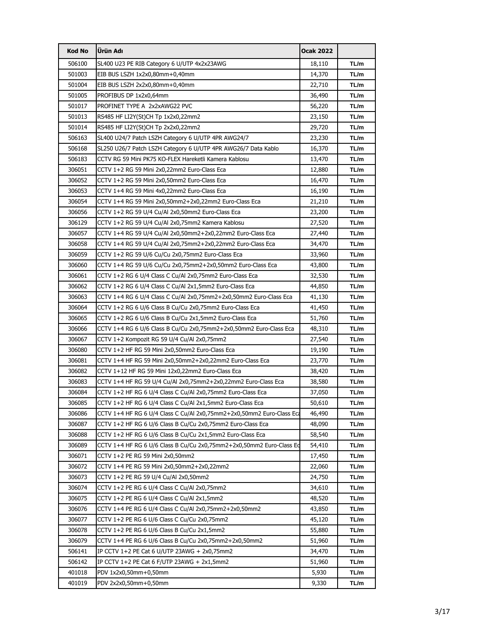| <b>Kod No</b> | Ürün Adı                                                             | <b>Ocak 2022</b> |      |
|---------------|----------------------------------------------------------------------|------------------|------|
| 506100        | SL400 U23 PE RIB Category 6 U/UTP 4x2x23AWG                          | 18,110           | TL/m |
| 501003        | EIB BUS LSZH 1x2x0,80mm+0,40mm                                       | 14,370           | TL/m |
| 501004        | EIB BUS LSZH 2x2x0,80mm+0,40mm                                       | 22,710           | TL/m |
| 501005        | PROFIBUS DP 1x2x0,64mm                                               | 36,490           | TL/m |
| 501017        | PROFINET TYPE A 2x2xAWG22 PVC                                        | 56,220           | TL/m |
| 501013        | RS485 HF LI2Y(St)CH Tp 1x2x0,22mm2                                   | 23,150           | TL/m |
| 501014        | RS485 HF LI2Y(St)CH Tp 2x2x0,22mm2                                   | 29,720           | TL/m |
| 506163        | SL400 U24/7 Patch LSZH Category 6 U/UTP 4PR AWG24/7                  | 23,230           | TL/m |
| 506168        | SL250 U26/7 Patch LSZH Category 6 U/UTP 4PR AWG26/7 Data Kablo       | 16,370           | TL/m |
| 506183        | CCTV RG 59 Mini PK75 KO-FLEX Hareketli Kamera Kablosu                | 13,470           | TL/m |
| 306051        | CCTV 1+2 RG 59 Mini 2x0,22mm2 Euro-Class Eca                         | 12,880           | TL/m |
| 306052        | CCTV 1+2 RG 59 Mini 2x0,50mm2 Euro-Class Eca                         | 16,470           | TL/m |
| 306053        | CCTV 1+4 RG 59 Mini 4x0,22mm2 Euro-Class Eca                         | 16,190           | TL/m |
| 306054        | CCTV 1+4 RG 59 Mini 2x0,50mm2+2x0,22mm2 Euro-Class Eca               | 21,210           | TL/m |
| 306056        | CCTV 1+2 RG 59 U/4 Cu/Al 2x0,50mm2 Euro-Class Eca                    | 23,200           | TL/m |
| 306129        | CCTV 1+2 RG 59 U/4 Cu/Al 2x0,75mm2 Kamera Kablosu                    | 27,520           | TL/m |
| 306057        | CCTV 1+4 RG 59 U/4 Cu/Al 2x0,50mm2+2x0,22mm2 Euro-Class Eca          | 27,440           | TL/m |
| 306058        | CCTV 1+4 RG 59 U/4 Cu/Al 2x0,75mm2+2x0,22mm2 Euro-Class Eca          | 34,470           | TL/m |
| 306059        | CCTV 1+2 RG 59 U/6 Cu/Cu 2x0,75mm2 Euro-Class Eca                    | 33,960           | TL/m |
| 306060        | CCTV 1+4 RG 59 U/6 Cu/Cu 2x0,75mm2+2x0,50mm2 Euro-Class Eca          | 43,800           | TL/m |
| 306061        | CCTV 1+2 RG 6 U/4 Class C Cu/Al 2x0,75mm2 Euro-Class Eca             | 32,530           | TL/m |
| 306062        | CCTV 1+2 RG 6 U/4 Class C Cu/Al 2x1,5mm2 Euro-Class Eca              | 44,850           | TL/m |
| 306063        | CCTV 1+4 RG 6 U/4 Class C Cu/Al 2x0,75mm2+2x0,50mm2 Euro-Class Eca   | 41,130           | TL/m |
| 306064        | CCTV 1+2 RG 6 U/6 Class B Cu/Cu 2x0,75mm2 Euro-Class Eca             | 41,450           | TL/m |
| 306065        | CCTV 1+2 RG 6 U/6 Class B Cu/Cu 2x1,5mm2 Euro-Class Eca              | 51,760           | TL/m |
| 306066        |                                                                      | 48,310           | TL/m |
| 306067        | CCTV 1+2 Kompozit RG 59 U/4 Cu/Al 2x0,75mm2                          | 27,540           | TL/m |
| 306080        | CCTV 1+2 HF RG 59 Mini 2x0,50mm2 Euro-Class Eca                      | 19,190           | TL/m |
| 306081        | CCTV 1+4 HF RG 59 Mini 2x0,50mm2+2x0,22mm2 Euro-Class Eca            | 23,770           | TL/m |
| 306082        | CCTV 1+12 HF RG 59 Mini 12x0,22mm2 Euro-Class Eca                    | 38,420           | TL/m |
| 306083        | CCTV 1+4 HF RG 59 U/4 Cu/Al 2x0,75mm2+2x0,22mm2 Euro-Class Eca       | 38,580           | TL/m |
| 306084        | CCTV 1+2 HF RG 6 U/4 Class C Cu/Al 2x0,75mm2 Euro-Class Eca          | 37,050           | TL/m |
| 306085        | CCTV 1+2 HF RG 6 U/4 Class C Cu/Al 2x1,5mm2 Euro-Class Eca           | 50,610           | TL/m |
| 306086        |                                                                      | 46,490           | TL/m |
| 306087        | CCTV 1+2 HF RG 6 U/6 Class B Cu/Cu 2x0,75mm2 Euro-Class Eca          | 48,090           | TL/m |
| 306088        | CCTV 1+2 HF RG 6 U/6 Class B Cu/Cu 2x1,5mm2 Euro-Class Eca           | 58,540           | TL/m |
| 306089        | CCTV 1+4 HF RG 6 U/6 Class B Cu/Cu 2x0,75mm2+2x0,50mm2 Euro-Class Ed | 54,410           | TL/m |
| 306071        | CCTV 1+2 PE RG 59 Mini 2x0,50mm2                                     | 17,450           | TL/m |
| 306072        | CCTV 1+4 PE RG 59 Mini 2x0,50mm2+2x0,22mm2                           | 22,060           | TL/m |
| 306073        | CCTV 1+2 PE RG 59 U/4 Cu/Al 2x0,50mm2                                | 24,750           | TL/m |
| 306074        | CCTV 1+2 PE RG 6 U/4 Class C Cu/Al 2x0,75mm2                         | 34,610           | TL/m |
| 306075        | CCTV 1+2 PE RG 6 U/4 Class C Cu/Al 2x1,5mm2                          | 48,520           | TL/m |
| 306076        | CCTV 1+4 PE RG 6 U/4 Class C Cu/Al 2x0,75mm2+2x0,50mm2               | 43,850           | TL/m |
| 306077        | CCTV 1+2 PE RG 6 U/6 Class C Cu/Cu 2x0,75mm2                         | 45,120           | TL/m |
| 306078        | CCTV 1+2 PE RG 6 U/6 Class B Cu/Cu 2x1,5mm2                          | 55,880           | TL/m |
| 306079        | CCTV 1+4 PE RG 6 U/6 Class B Cu/Cu 2x0,75mm2+2x0,50mm2               | 51,960           | TL/m |
| 506141        | IP CCTV 1+2 PE Cat 6 U/UTP 23AWG + 2x0,75mm2                         | 34,470           | TL/m |
| 506142        | IP CCTV $1+2$ PE Cat 6 F/UTP 23AWG $+2x1,5mm2$                       | 51,960           | TL/m |
| 401018        | PDV 1x2x0,50mm+0,50mm                                                | 5,930            | TL/m |
| 401019        | PDV 2x2x0,50mm+0,50mm                                                | 9,330            | TL/m |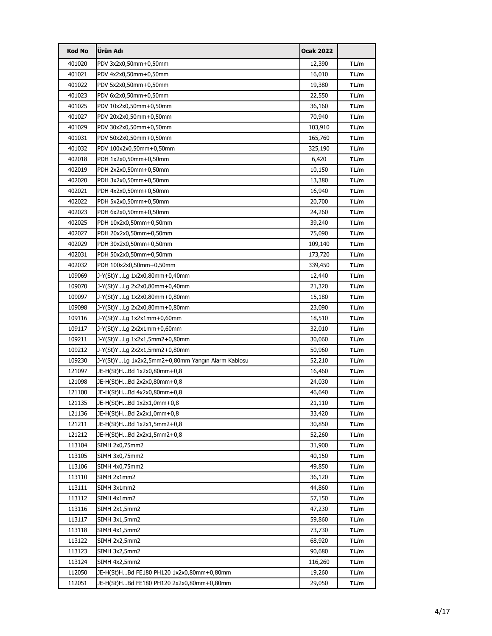| <b>Kod No</b> | Ürün Adı                                          | <b>Ocak 2022</b> |      |
|---------------|---------------------------------------------------|------------------|------|
| 401020        | PDV 3x2x0,50mm+0,50mm                             | 12,390           | TL/m |
| 401021        | PDV 4x2x0,50mm+0,50mm                             | 16,010           | TL/m |
| 401022        | PDV 5x2x0,50mm+0,50mm                             | 19,380           | TL/m |
| 401023        | PDV 6x2x0,50mm+0,50mm                             | 22,550           | TL/m |
| 401025        | PDV 10x2x0,50mm+0,50mm                            | 36,160           | TL/m |
| 401027        | PDV 20x2x0,50mm+0,50mm                            | 70,940           | TL/m |
| 401029        | PDV 30x2x0,50mm+0,50mm                            | 103,910          | TL/m |
| 401031        | PDV 50x2x0,50mm+0,50mm                            | 165,760          | TL/m |
| 401032        | PDV 100x2x0,50mm+0,50mm                           | 325,190          | TL/m |
| 402018        | PDH 1x2x0,50mm+0,50mm                             | 6,420            | TL/m |
| 402019        | PDH 2x2x0,50mm+0,50mm                             | 10,150           | TL/m |
| 402020        | PDH 3x2x0,50mm+0,50mm                             | 13,380           | TL/m |
| 402021        | PDH 4x2x0,50mm+0,50mm                             | 16,940           | TL/m |
| 402022        | PDH 5x2x0,50mm+0,50mm                             | 20,700           | TL/m |
| 402023        | PDH 6x2x0,50mm+0,50mm                             | 24,260           | TL/m |
| 402025        | PDH 10x2x0,50mm+0,50mm                            | 39,240           | TL/m |
| 402027        | PDH 20x2x0,50mm+0,50mm                            | 75,090           | TL/m |
| 402029        | PDH 30x2x0,50mm+0,50mm                            | 109,140          | TL/m |
| 402031        | PDH 50x2x0,50mm+0,50mm                            | 173,720          | TL/m |
| 402032        | PDH 100x2x0,50mm+0,50mm                           | 339,450          | TL/m |
| 109069        | J-Y(St)YLg 1x2x0,80mm+0,40mm                      | 12,440           | TL/m |
| 109070        | J-Y(St)YLg 2x2x0,80mm+0,40mm                      | 21,320           | TL/m |
| 109097        | J-Y(St)YLg 1x2x0,80mm+0,80mm                      | 15,180           | TL/m |
| 109098        | J-Y(St)YLg 2x2x0,80mm+0,80mm                      | 23,090           | TL/m |
| 109116        | J-Y(St)YLg 1x2x1mm+0,60mm                         | 18,510           | TL/m |
| 109117        | J-Y(St)YLg 2x2x1mm+0,60mm                         | 32,010           | TL/m |
| 109211        | J-Y(St)YLg 1x2x1,5mm2+0,80mm                      | 30,060           | TL/m |
| 109212        | J-Y(St)YLg 2x2x1,5mm2+0,80mm                      | 50,960           | TL/m |
| 109230        | J-Y(St)YLg 1x2x2,5mm2+0,80mm Yangın Alarm Kablosu | 52,210           | TL/m |
| 121097        | JE-H(St)HBd 1x2x0,80mm+0,8                        | 16,460           | TL/m |
| 121098        | JE-H(St)HBd 2x2x0,80mm+0,8                        | 24,030           | TL/m |
| 121100        | JE-H(St)HBd 4x2x0,80mm+0,8                        | 46,640           | TL/m |
| 121135        | JE-H(St)HBd 1x2x1,0mm+0,8                         | 21,110           | TL/m |
| 121136        | JE-H(St)HBd 2x2x1,0mm+0,8                         | 33,420           | TL/m |
| 121211        | JE-H(St)HBd 1x2x1,5mm2+0,8                        | 30,850           | TL/m |
| 121212        | JE-H(St)HBd 2x2x1,5mm2+0,8                        | 52,260           | TL/m |
| 113104        | SIMH 2x0,75mm2                                    | 31,900           | TL/m |
| 113105        | SIMH 3x0,75mm2                                    | 40,150           | TL/m |
| 113106        | SIMH 4x0,75mm2                                    | 49,850           | TL/m |
| 113110        | SIMH 2x1mm2                                       | 36,120           | TL/m |
| 113111        | SIMH 3x1mm2                                       | 44,860           | TL/m |
| 113112        | SIMH 4x1mm2                                       | 57,150           | TL/m |
| 113116        | SIMH 2x1,5mm2                                     | 47,230           | TL/m |
| 113117        | SIMH 3x1,5mm2                                     | 59,860           | TL/m |
| 113118        | SIMH 4x1,5mm2                                     | 73,730           | TL/m |
| 113122        | SIMH 2x2,5mm2                                     | 68,920           | TL/m |
| 113123        | SIMH 3x2,5mm2                                     | 90,680           | TL/m |
| 113124        | SIMH 4x2,5mm2                                     | 116,260          | TL/m |
| 112050        | JE-H(St)HBd FE180 PH120 1x2x0,80mm+0,80mm         | 19,260           | TL/m |
| 112051        | JE-H(St)HBd FE180 PH120 2x2x0,80mm+0,80mm         | 29,050           | TL/m |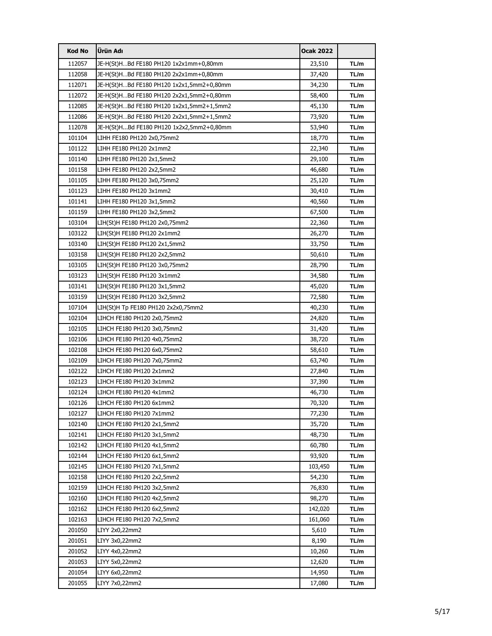| <b>Kod No</b> | Ürün Adı                                  | <b>Ocak 2022</b> |      |
|---------------|-------------------------------------------|------------------|------|
| 112057        | JE-H(St)HBd FE180 PH120 1x2x1mm+0,80mm    | 23,510           | TL/m |
| 112058        | JE-H(St)HBd FE180 PH120 2x2x1mm+0,80mm    | 37,420           | TL/m |
| 112071        | JE-H(St)HBd FE180 PH120 1x2x1,5mm2+0,80mm | 34,230           | TL/m |
| 112072        | JE-H(St)HBd FE180 PH120 2x2x1,5mm2+0,80mm | 58,400           | TL/m |
| 112085        | JE-H(St)HBd FE180 PH120 1x2x1,5mm2+1,5mm2 | 45,130           | TL/m |
| 112086        | JE-H(St)HBd FE180 PH120 2x2x1,5mm2+1,5mm2 | 73,920           | TL/m |
| 112078        | JE-H(St)HBd FE180 PH120 1x2x2,5mm2+0,80mm | 53,940           | TL/m |
| 101104        | LIHH FE180 PH120 2x0,75mm2                | 18,770           | TL/m |
| 101122        | LIHH FE180 PH120 2x1mm2                   | 22,340           | TL/m |
| 101140        | LIHH FE180 PH120 2x1,5mm2                 | 29,100           | TL/m |
| 101158        | LIHH FE180 PH120 2x2,5mm2                 | 46,680           | TL/m |
| 101105        | LIHH FE180 PH120 3x0,75mm2                | 25,120           | TL/m |
| 101123        | LIHH FE180 PH120 3x1mm2                   | 30,410           | TL/m |
| 101141        | LIHH FE180 PH120 3x1,5mm2                 | 40,560           | TL/m |
| 101159        | LIHH FE180 PH120 3x2,5mm2                 | 67,500           | TL/m |
| 103104        | LIH(St)H FE180 PH120 2x0,75mm2            | 22,360           | TL/m |
| 103122        | LIH(St)H FE180 PH120 2x1mm2               | 26,270           | TL/m |
| 103140        | LIH(St)H FE180 PH120 2x1,5mm2             | 33,750           | TL/m |
| 103158        | LIH(St)H FE180 PH120 2x2,5mm2             | 50,610           | TL/m |
| 103105        | LIH(St)H FE180 PH120 3x0,75mm2            | 28,790           | TL/m |
| 103123        | LIH(St)H FE180 PH120 3x1mm2               | 34,580           | TL/m |
| 103141        | LIH(St)H FE180 PH120 3x1,5mm2             | 45,020           | TL/m |
| 103159        | LIH(St)H FE180 PH120 3x2,5mm2             | 72,580           | TL/m |
| 107104        | LIH(St)H Tp FE180 PH120 2x2x0,75mm2       | 40,230           | TL/m |
| 102104        | LIHCH FE180 PH120 2x0,75mm2               | 24,820           | TL/m |
| 102105        | LIHCH FE180 PH120 3x0,75mm2               | 31,420           | TL/m |
| 102106        | LIHCH FE180 PH120 4x0,75mm2               | 38,720           | TL/m |
| 102108        | LIHCH FE180 PH120 6x0,75mm2               | 58,610           | TL/m |
| 102109        | LIHCH FE180 PH120 7x0,75mm2               | 63,740           | TL/m |
| 102122        | LIHCH FE180 PH120 2x1mm2                  | 27,840           | TL/m |
| 102123        | LIHCH FE180 PH120 3x1mm2                  | 37,390           | TL/m |
| 102124        | LIHCH FE180 PH120 4x1mm2                  | 46,730           | TL/m |
| 102126        | LIHCH FE180 PH120 6x1mm2                  | 70,320           | TL/m |
| 102127        | LIHCH FE180 PH120 7x1mm2                  | 77,230           | TL/m |
| 102140        | LIHCH FE180 PH120 2x1,5mm2                | 35,720           | TL/m |
| 102141        | LIHCH FE180 PH120 3x1,5mm2                | 48,730           | TL/m |
| 102142        | LIHCH FE180 PH120 4x1,5mm2                | 60,780           | TL/m |
| 102144        | LIHCH FE180 PH120 6x1,5mm2                | 93,920           | TL/m |
| 102145        | LIHCH FE180 PH120 7x1,5mm2                | 103,450          | TL/m |
| 102158        | LIHCH FE180 PH120 2x2,5mm2                | 54,230           | TL/m |
| 102159        | LIHCH FE180 PH120 3x2,5mm2                | 76,830           | TL/m |
| 102160        | LIHCH FE180 PH120 4x2,5mm2                | 98,270           | TL/m |
| 102162        | LIHCH FE180 PH120 6x2,5mm2                | 142,020          | TL/m |
| 102163        | LIHCH FE180 PH120 7x2,5mm2                | 161,060          | TL/m |
| 201050        | LIYY 2x0,22mm2                            | 5,610            | TL/m |
| 201051        | LIYY 3x0,22mm2                            | 8,190            | TL/m |
| 201052        | LIYY 4x0,22mm2                            | 10,260           | TL/m |
| 201053        | LIYY 5x0,22mm2                            | 12,620           | TL/m |
| 201054        | LIYY 6x0,22mm2                            | 14,950           | TL/m |
| 201055        | LIYY 7x0,22mm2                            | 17,080           | TL/m |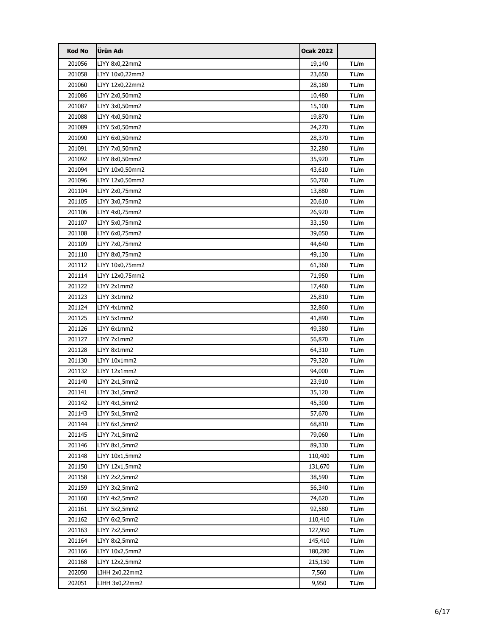| <b>Kod No</b> | Ürün Adı        | <b>Ocak 2022</b> |      |
|---------------|-----------------|------------------|------|
| 201056        | LIYY 8x0,22mm2  | 19,140           | TL/m |
| 201058        | LIYY 10x0,22mm2 | 23,650           | TL/m |
| 201060        | LIYY 12x0,22mm2 | 28,180           | TL/m |
| 201086        | LIYY 2x0,50mm2  | 10,480           | TL/m |
| 201087        | LIYY 3x0,50mm2  | 15,100           | TL/m |
| 201088        | LIYY 4x0,50mm2  | 19,870           | TL/m |
| 201089        | LIYY 5x0,50mm2  | 24,270           | TL/m |
| 201090        | LIYY 6x0,50mm2  | 28,370           | TL/m |
| 201091        | LIYY 7x0,50mm2  | 32,280           | TL/m |
| 201092        | LIYY 8x0,50mm2  | 35,920           | TL/m |
| 201094        | LIYY 10x0,50mm2 | 43,610           | TL/m |
| 201096        | LIYY 12x0,50mm2 | 50,760           | TL/m |
| 201104        | LIYY 2x0,75mm2  | 13,880           | TL/m |
| 201105        | LIYY 3x0,75mm2  | 20,610           | TL/m |
| 201106        | LIYY 4x0,75mm2  | 26,920           | TL/m |
| 201107        | LIYY 5x0,75mm2  | 33,150           | TL/m |
| 201108        | LIYY 6x0,75mm2  | 39,050           | TL/m |
| 201109        | LIYY 7x0,75mm2  | 44,640           | TL/m |
| 201110        | LIYY 8x0,75mm2  | 49,130           | TL/m |
| 201112        | LIYY 10x0,75mm2 | 61,360           | TL/m |
| 201114        | LIYY 12x0,75mm2 | 71,950           | TL/m |
| 201122        | LIYY 2x1mm2     | 17,460           | TL/m |
| 201123        | LIYY 3x1mm2     | 25,810           | TL/m |
| 201124        | LIYY 4x1mm2     | 32,860           | TL/m |
| 201125        | LIYY 5x1mm2     | 41,890           | TL/m |
| 201126        | LIYY 6x1mm2     | 49,380           | TL/m |
| 201127        | LIYY 7x1mm2     | 56,870           | TL/m |
| 201128        | LIYY 8x1mm2     | 64,310           | TL/m |
| 201130        | LIYY 10x1mm2    | 79,320           | TL/m |
| 201132        | LIYY 12x1mm2    | 94,000           | TL/m |
| 201140        | LIYY 2x1,5mm2   | 23,910           | TL/m |
| 201141        | LIYY 3x1,5mm2   | 35,120           | TL/m |
| 201142        | LIYY 4x1,5mm2   | 45,300           | TL/m |
| 201143        | LIYY 5x1,5mm2   | 57,670           | TL/m |
| 201144        | LIYY 6x1,5mm2   | 68,810           | TL/m |
| 201145        | LIYY 7x1,5mm2   | 79,060           | TL/m |
| 201146        | LIYY 8x1,5mm2   | 89,330           | TL/m |
| 201148        | LIYY 10x1,5mm2  | 110,400          | TL/m |
| 201150        | LIYY 12x1,5mm2  | 131,670          | TL/m |
| 201158        | LIYY 2x2,5mm2   | 38,590           | TL/m |
| 201159        | LIYY 3x2,5mm2   | 56,340           | TL/m |
| 201160        | LIYY 4x2,5mm2   | 74,620           | TL/m |
| 201161        | LIYY 5x2,5mm2   | 92,580           | TL/m |
| 201162        | LIYY 6x2,5mm2   | 110,410          | TL/m |
| 201163        | LIYY 7x2,5mm2   | 127,950          | TL/m |
| 201164        | LIYY 8x2,5mm2   | 145,410          | TL/m |
| 201166        | LIYY 10x2,5mm2  | 180,280          | TL/m |
| 201168        | LIYY 12x2,5mm2  | 215,150          | TL/m |
| 202050        | LIHH 2x0,22mm2  | 7,560            | TL/m |
| 202051        | LIHH 3x0,22mm2  | 9,950            | TL/m |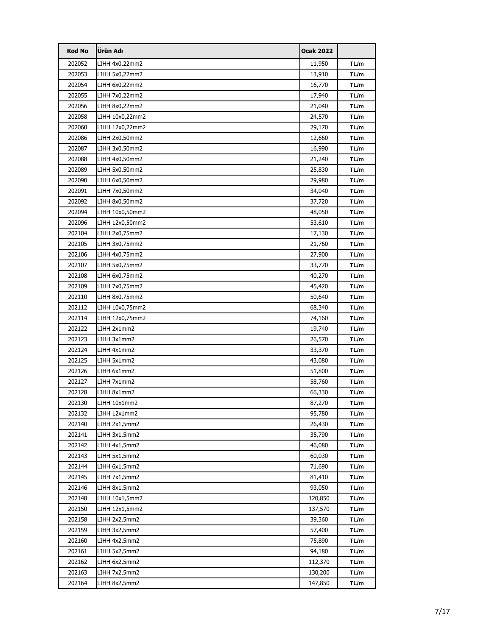| <b>Kod No</b> | Ürün Adı        | <b>Ocak 2022</b> |      |
|---------------|-----------------|------------------|------|
| 202052        | LIHH 4x0,22mm2  | 11,950           | TL/m |
| 202053        | LIHH 5x0,22mm2  | 13,910           | TL/m |
| 202054        | LIHH 6x0,22mm2  | 16,770           | TL/m |
| 202055        | LIHH 7x0,22mm2  | 17,940           | TL/m |
| 202056        | LIHH 8x0,22mm2  | 21,040           | TL/m |
| 202058        | LIHH 10x0,22mm2 | 24,570           | TL/m |
| 202060        | LIHH 12x0,22mm2 | 29,170           | TL/m |
| 202086        | LIHH 2x0,50mm2  | 12,660           | TL/m |
| 202087        | LIHH 3x0,50mm2  | 16,990           | TL/m |
| 202088        | LIHH 4x0,50mm2  | 21,240           | TL/m |
| 202089        | LIHH 5x0,50mm2  | 25,830           | TL/m |
| 202090        | LIHH 6x0,50mm2  | 29,980           | TL/m |
| 202091        | LIHH 7x0,50mm2  | 34,040           | TL/m |
| 202092        | LIHH 8x0,50mm2  | 37,720           | TL/m |
| 202094        | LIHH 10x0,50mm2 | 48,050           | TL/m |
| 202096        | LIHH 12x0,50mm2 | 53,610           | TL/m |
| 202104        | LIHH 2x0,75mm2  | 17,130           | TL/m |
| 202105        | LIHH 3x0,75mm2  | 21,760           | TL/m |
| 202106        | LIHH 4x0,75mm2  | 27,900           | TL/m |
| 202107        | LIHH 5x0,75mm2  | 33,770           | TL/m |
| 202108        | LIHH 6x0,75mm2  | 40,270           | TL/m |
| 202109        | LIHH 7x0,75mm2  | 45,420           | TL/m |
| 202110        | LIHH 8x0,75mm2  | 50,640           | TL/m |
| 202112        | LIHH 10x0,75mm2 | 68,340           | TL/m |
| 202114        | LIHH 12x0,75mm2 | 74,160           | TL/m |
| 202122        | LIHH 2x1mm2     | 19,740           | TL/m |
| 202123        | LIHH 3x1mm2     | 26,570           | TL/m |
| 202124        | LIHH 4x1mm2     | 33,370           | TL/m |
| 202125        | LIHH 5x1mm2     | 43,080           | TL/m |
| 202126        | LIHH 6x1mm2     | 51,800           | TL/m |
| 202127        | LIHH 7x1mm2     | 58,760           | TL/m |
| 202128        | LIHH 8x1mm2     | 66,330           | TL/m |
| 202130        | LIHH 10x1mm2    | 87,270           | TL/m |
| 202132        | LIHH 12x1mm2    | 95,780           | TL/m |
| 202140        | LIHH 2x1,5mm2   | 26,430           | TL/m |
| 202141        | LIHH 3x1,5mm2   | 35,790           | TL/m |
| 202142        | LIHH 4x1,5mm2   | 46,080           | TL/m |
| 202143        | LIHH 5x1,5mm2   | 60,030           | TL/m |
| 202144        | LIHH 6x1,5mm2   | 71,690           | TL/m |
| 202145        | LIHH 7x1,5mm2   | 81,410           | TL/m |
| 202146        | LIHH 8x1,5mm2   | 93,050           | TL/m |
| 202148        | LIHH 10x1,5mm2  | 120,850          | TL/m |
| 202150        | LIHH 12x1,5mm2  | 137,570          | TL/m |
| 202158        | LIHH 2x2,5mm2   | 39,360           | TL/m |
| 202159        | LIHH 3x2,5mm2   | 57,400           | TL/m |
| 202160        | LIHH 4x2,5mm2   | 75,890           | TL/m |
| 202161        | LIHH 5x2,5mm2   | 94,180           | TL/m |
| 202162        | LIHH 6x2,5mm2   | 112,370          | TL/m |
| 202163        | LIHH 7x2,5mm2   | 130,200          | TL/m |
| 202164        | LIHH 8x2,5mm2   | 147,850          | TL/m |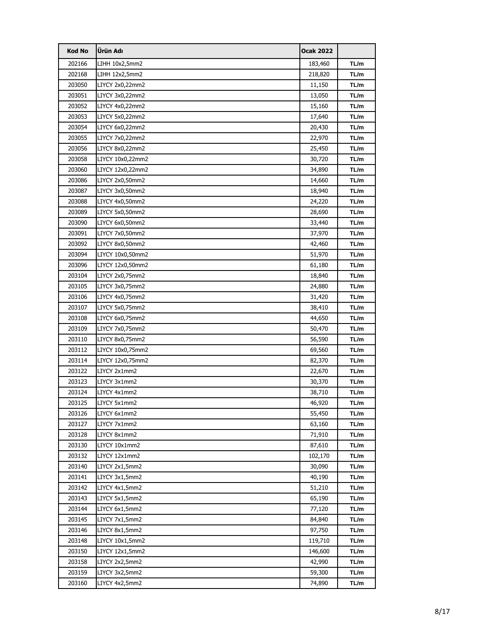| <b>Kod No</b> | Ürün Adı         | <b>Ocak 2022</b> |      |
|---------------|------------------|------------------|------|
| 202166        | LIHH 10x2,5mm2   | 183,460          | TL/m |
| 202168        | LIHH 12x2,5mm2   | 218,820          | TL/m |
| 203050        | LIYCY 2x0,22mm2  | 11,150           | TL/m |
| 203051        | LIYCY 3x0,22mm2  | 13,050           | TL/m |
| 203052        | LIYCY 4x0,22mm2  | 15,160           | TL/m |
| 203053        | LIYCY 5x0,22mm2  | 17,640           | TL/m |
| 203054        | LIYCY 6x0,22mm2  | 20,430           | TL/m |
| 203055        | LIYCY 7x0,22mm2  | 22,970           | TL/m |
| 203056        | LIYCY 8x0,22mm2  | 25,450           | TL/m |
| 203058        | LIYCY 10x0,22mm2 | 30,720           | TL/m |
| 203060        | LIYCY 12x0,22mm2 | 34,890           | TL/m |
| 203086        | LIYCY 2x0,50mm2  | 14,660           | TL/m |
| 203087        | LIYCY 3x0,50mm2  | 18,940           | TL/m |
| 203088        | LIYCY 4x0,50mm2  | 24,220           | TL/m |
| 203089        | LIYCY 5x0,50mm2  | 28,690           | TL/m |
| 203090        | LIYCY 6x0,50mm2  | 33,440           | TL/m |
| 203091        | LIYCY 7x0,50mm2  | 37,970           | TL/m |
| 203092        | LIYCY 8x0,50mm2  | 42,460           | TL/m |
| 203094        | LIYCY 10x0,50mm2 | 51,970           | TL/m |
| 203096        | LIYCY 12x0,50mm2 | 61,180           | TL/m |
| 203104        | LIYCY 2x0,75mm2  | 18,840           | TL/m |
| 203105        | LIYCY 3x0,75mm2  | 24,880           | TL/m |
| 203106        | LIYCY 4x0,75mm2  | 31,420           | TL/m |
| 203107        | LIYCY 5x0,75mm2  | 38,410           | TL/m |
| 203108        | LIYCY 6x0,75mm2  | 44,650           | TL/m |
| 203109        | LIYCY 7x0,75mm2  | 50,470           | TL/m |
| 203110        | LIYCY 8x0,75mm2  | 56,590           | TL/m |
| 203112        | LIYCY 10x0,75mm2 | 69,560           | TL/m |
| 203114        | LIYCY 12x0,75mm2 | 82,370           | TL/m |
| 203122        | LIYCY 2x1mm2     | 22,670           | TL/m |
| 203123        | LIYCY 3x1mm2     | 30,370           | TL/m |
| 203124        | LIYCY 4x1mm2     | 38,710           | TL/m |
| 203125        | LIYCY 5x1mm2     | 46,920           | TL/m |
| 203126        | LIYCY 6x1mm2     | 55,450           | TL/m |
| 203127        | LIYCY 7x1mm2     | 63,160           | TL/m |
| 203128        | LIYCY 8x1mm2     | 71,910           | TL/m |
| 203130        | LIYCY 10x1mm2    | 87,610           | TL/m |
| 203132        | LIYCY 12x1mm2    | 102,170          | TL/m |
| 203140        | LIYCY 2x1,5mm2   | 30,090           | TL/m |
| 203141        | LIYCY 3x1,5mm2   | 40,190           | TL/m |
| 203142        | LIYCY 4x1,5mm2   | 51,210           | TL/m |
| 203143        | LIYCY 5x1,5mm2   | 65,190           | TL/m |
| 203144        | LIYCY 6x1,5mm2   | 77,120           | TL/m |
| 203145        | LIYCY 7x1,5mm2   | 84,840           | TL/m |
| 203146        | LIYCY 8x1,5mm2   | 97,750           | TL/m |
| 203148        | LIYCY 10x1,5mm2  | 119,710          | TL/m |
| 203150        | LIYCY 12x1,5mm2  | 146,600          | TL/m |
| 203158        | LIYCY 2x2,5mm2   | 42,990           | TL/m |
| 203159        | LIYCY 3x2,5mm2   | 59,300           | TL/m |
| 203160        | LIYCY 4x2,5mm2   | 74,890           | TL/m |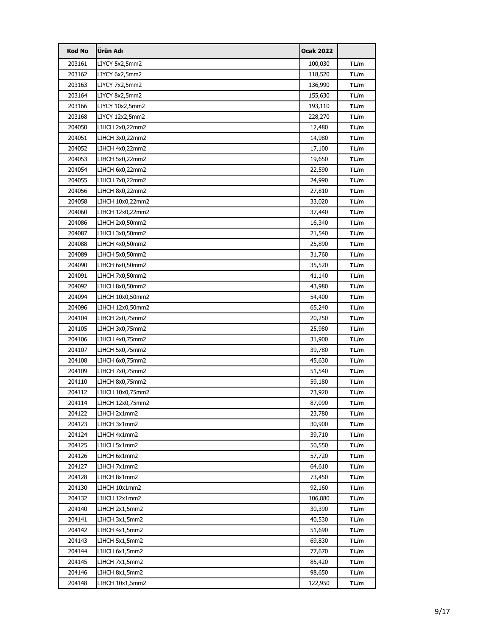| <b>Kod No</b> | Ürün Adı         | <b>Ocak 2022</b> |      |
|---------------|------------------|------------------|------|
| 203161        | LIYCY 5x2,5mm2   | 100,030          | TL/m |
| 203162        | LIYCY 6x2,5mm2   | 118,520          | TL/m |
| 203163        | LIYCY 7x2,5mm2   | 136,990          | TL/m |
| 203164        | LIYCY 8x2,5mm2   | 155,630          | TL/m |
| 203166        | LIYCY 10x2,5mm2  | 193,110          | TL/m |
| 203168        | LIYCY 12x2,5mm2  | 228,270          | TL/m |
| 204050        | LIHCH 2x0,22mm2  | 12,480           | TL/m |
| 204051        | LIHCH 3x0,22mm2  | 14,980           | TL/m |
| 204052        | LIHCH 4x0,22mm2  | 17,100           | TL/m |
| 204053        | LIHCH 5x0,22mm2  | 19,650           | TL/m |
| 204054        | LIHCH 6x0,22mm2  | 22,590           | TL/m |
| 204055        | LIHCH 7x0,22mm2  | 24,990           | TL/m |
| 204056        | LIHCH 8x0,22mm2  | 27,810           | TL/m |
| 204058        | LIHCH 10x0,22mm2 | 33,020           | TL/m |
| 204060        | LIHCH 12x0,22mm2 | 37,440           | TL/m |
| 204086        | LIHCH 2x0,50mm2  | 16,340           | TL/m |
| 204087        | LIHCH 3x0,50mm2  | 21,540           | TL/m |
| 204088        | LIHCH 4x0,50mm2  | 25,890           | TL/m |
| 204089        | LIHCH 5x0,50mm2  | 31,760           | TL/m |
| 204090        | LIHCH 6x0,50mm2  | 35,520           | TL/m |
| 204091        | LIHCH 7x0,50mm2  | 41,140           | TL/m |
| 204092        | LIHCH 8x0,50mm2  | 43,980           | TL/m |
| 204094        | LIHCH 10x0,50mm2 | 54,400           | TL/m |
| 204096        | LIHCH 12x0,50mm2 | 65,240           | TL/m |
| 204104        | LIHCH 2x0,75mm2  | 20,250           | TL/m |
| 204105        | LIHCH 3x0,75mm2  | 25,980           | TL/m |
| 204106        | LIHCH 4x0,75mm2  | 31,900           | TL/m |
| 204107        | LIHCH 5x0,75mm2  | 39,780           | TL/m |
| 204108        | LIHCH 6x0,75mm2  | 45,630           | TL/m |
| 204109        | LIHCH 7x0,75mm2  | 51,540           | TL/m |
| 204110        | LIHCH 8x0,75mm2  | 59,180           | TL/m |
| 204112        | LIHCH 10x0,75mm2 | 73,920           | TL/m |
| 204114        | LIHCH 12x0,75mm2 | 87,090           | TL/m |
| 204122        | LIHCH 2x1mm2     | 23,780           | TL/m |
| 204123        | LIHCH 3x1mm2     | 30,900           | TL/m |
| 204124        | LIHCH 4x1mm2     | 39,710           | TL/m |
| 204125        | LIHCH 5x1mm2     | 50,550           | TL/m |
| 204126        | LIHCH 6x1mm2     | 57,720           | TL/m |
| 204127        | LIHCH 7x1mm2     | 64,610           | TL/m |
| 204128        | LIHCH 8x1mm2     | 73,450           | TL/m |
| 204130        | LIHCH 10x1mm2    | 92,160           | TL/m |
| 204132        | LIHCH 12x1mm2    | 106,880          | TL/m |
| 204140        | LIHCH 2x1,5mm2   | 30,390           | TL/m |
| 204141        | LIHCH 3x1,5mm2   | 40,530           | TL/m |
| 204142        | LIHCH 4x1,5mm2   | 51,690           | TL/m |
| 204143        | LIHCH 5x1,5mm2   | 69,830           | TL/m |
| 204144        | LIHCH 6x1,5mm2   | 77,670           | TL/m |
| 204145        | LIHCH 7x1,5mm2   | 85,420           | TL/m |
| 204146        | LIHCH 8x1,5mm2   | 98,650           | TL/m |
| 204148        | LIHCH 10x1,5mm2  | 122,950          | TL/m |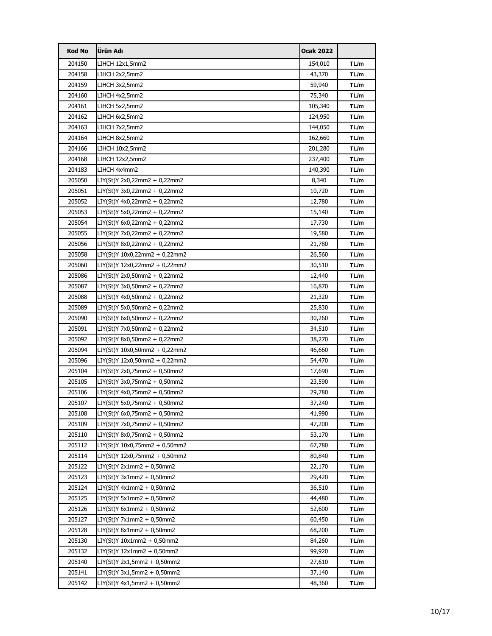| <b>Kod No</b> | Ürün Adı                      | <b>Ocak 2022</b> |      |
|---------------|-------------------------------|------------------|------|
| 204150        | LIHCH 12x1,5mm2               | 154,010          | TL/m |
| 204158        | LIHCH 2x2,5mm2                | 43,370           | TL/m |
| 204159        | LIHCH 3x2,5mm2                | 59,940           | TL/m |
| 204160        | LIHCH 4x2,5mm2                | 75,340           | TL/m |
| 204161        | LIHCH 5x2,5mm2                | 105,340          | TL/m |
| 204162        | LIHCH 6x2,5mm2                | 124,950          | TL/m |
| 204163        | LIHCH 7x2,5mm2                | 144,050          | TL/m |
| 204164        | LIHCH 8x2,5mm2                | 162,660          | TL/m |
| 204166        | LIHCH 10x2,5mm2               | 201,280          | TL/m |
| 204168        | LIHCH 12x2,5mm2               | 237,400          | TL/m |
| 204183        | LIHCH 4x4mm2                  | 140,390          | TL/m |
| 205050        | LIY(St)Y 2x0,22mm2 + 0,22mm2  | 8,340            | TL/m |
| 205051        | LIY(St)Y 3x0,22mm2 + 0,22mm2  | 10,720           | TL/m |
| 205052        | LIY(St)Y 4x0,22mm2 + 0,22mm2  | 12,780           | TL/m |
| 205053        | LIY(St)Y 5x0,22mm2 + 0,22mm2  | 15,140           | TL/m |
| 205054        | LIY(St)Y 6x0,22mm2 + 0,22mm2  | 17,730           | TL/m |
| 205055        | LIY(St)Y 7x0,22mm2 + 0,22mm2  | 19,580           | TL/m |
| 205056        | LIY(St)Y 8x0,22mm2 + 0,22mm2  | 21,780           | TL/m |
| 205058        | LIY(St)Y 10x0,22mm2 + 0,22mm2 | 26,560           | TL/m |
| 205060        | LIY(St)Y 12x0,22mm2 + 0,22mm2 | 30,510           | TL/m |
| 205086        | LIY(St)Y 2x0,50mm2 + 0,22mm2  | 12,440           | TL/m |
| 205087        | LIY(St)Y 3x0,50mm2 + 0,22mm2  | 16,870           | TL/m |
| 205088        | LIY(St)Y 4x0,50mm2 + 0,22mm2  | 21,320           | TL/m |
| 205089        | LIY(St)Y 5x0,50mm2 + 0,22mm2  | 25,830           | TL/m |
| 205090        | LIY(St)Y 6x0,50mm2 + 0,22mm2  | 30,260           | TL/m |
| 205091        | LIY(St)Y 7x0,50mm2 + 0,22mm2  | 34,510           | TL/m |
| 205092        | LIY(St)Y 8x0,50mm2 + 0,22mm2  | 38,270           | TL/m |
| 205094        | LIY(St)Y 10x0,50mm2 + 0,22mm2 | 46,660           | TL/m |
| 205096        | LIY(St)Y 12x0,50mm2 + 0,22mm2 | 54,470           | TL/m |
| 205104        | LIY(St)Y 2x0,75mm2 + 0,50mm2  | 17,690           | TL/m |
| 205105        | LIY(St)Y 3x0,75mm2 + 0,50mm2  | 23,590           | TL/m |
| 205106        | LIY(St)Y 4x0,75mm2 + 0,50mm2  | 29,780           | TL/m |
| 205107        | LIY(St)Y 5x0,75mm2 + 0,50mm2  | 37,240           | TL/m |
| 205108        | LIY(St)Y 6x0,75mm2 + 0,50mm2  | 41,990           | TL/m |
| 205109        | LIY(St)Y 7x0,75mm2 + 0,50mm2  | 47,200           | TL/m |
| 205110        | LIY(St)Y 8x0,75mm2 + 0,50mm2  | 53,170           | TL/m |
| 205112        | LIY(St)Y 10x0,75mm2 + 0,50mm2 | 67,780           | TL/m |
| 205114        | LIY(St)Y 12x0,75mm2 + 0,50mm2 | 80,840           | TL/m |
| 205122        | LIY(St)Y 2x1mm2 + 0,50mm2     | 22,170           | TL/m |
| 205123        | LIY(St)Y 3x1mm2 + 0,50mm2     | 29,420           | TL/m |
| 205124        | LIY(St)Y 4x1mm2 + 0,50mm2     | 36,510           | TL/m |
| 205125        | $LIY(St)Y 5x1mm2 + 0,50mm2$   | 44,480           | TL/m |
| 205126        | LIY(St)Y 6x1mm2 + 0,50mm2     | 52,600           | TL/m |
| 205127        | LIY(St)Y 7x1mm2 + 0,50mm2     | 60,450           | TL/m |
| 205128        | LIY(St)Y 8x1mm2 + 0,50mm2     | 68,200           | TL/m |
| 205130        | LIY(St)Y 10x1mm2 + 0,50mm2    | 84,260           | TL/m |
| 205132        | LIY(St)Y 12x1mm2 + 0,50mm2    | 99,920           | TL/m |
| 205140        | LIY(St)Y 2x1,5mm2 + 0,50mm2   | 27,610           | TL/m |
| 205141        | LIY(St)Y 3x1,5mm2 + 0,50mm2   | 37,140           | TL/m |
| 205142        | LIY(St)Y 4x1,5mm2 + 0,50mm2   | 48,360           | TL/m |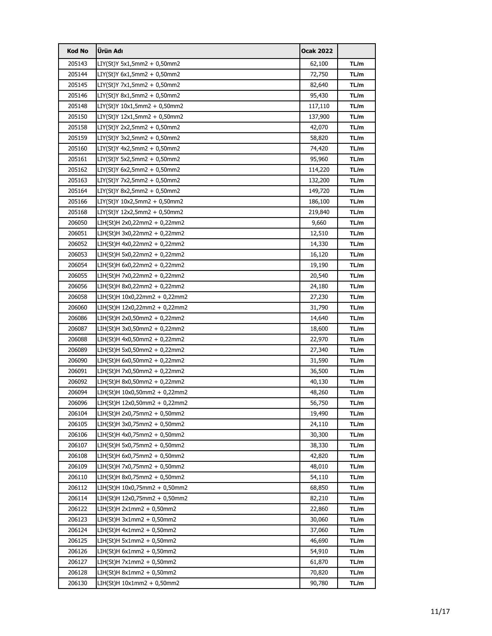| <b>Kod No</b> | Ürün Adı                      | <b>Ocak 2022</b> |      |
|---------------|-------------------------------|------------------|------|
| 205143        | LIY(St)Y 5x1,5mm2 + 0,50mm2   | 62,100           | TL/m |
| 205144        | LIY(St)Y 6x1,5mm2 + 0,50mm2   | 72,750           | TL/m |
| 205145        | LIY(St)Y 7x1,5mm2 + 0,50mm2   | 82,640           | TL/m |
| 205146        | LIY(St)Y 8x1,5mm2 + 0,50mm2   | 95,430           | TL/m |
| 205148        | LIY(St)Y 10x1,5mm2 + 0,50mm2  | 117,110          | TL/m |
| 205150        | LIY(St)Y 12x1,5mm2 + 0,50mm2  | 137,900          | TL/m |
| 205158        | LIY(St)Y 2x2,5mm2 + 0,50mm2   | 42,070           | TL/m |
| 205159        | LIY(St)Y 3x2,5mm2 + 0,50mm2   | 58,820           | TL/m |
| 205160        | LIY(St)Y 4x2,5mm2 + 0,50mm2   | 74,420           | TL/m |
| 205161        | LIY(St)Y 5x2,5mm2 + 0,50mm2   | 95,960           | TL/m |
| 205162        | LIY(St)Y 6x2,5mm2 + 0,50mm2   | 114,220          | TL/m |
| 205163        | LIY(St)Y 7x2,5mm2 + 0,50mm2   | 132,200          | TL/m |
| 205164        | LIY(St)Y 8x2,5mm2 + 0,50mm2   | 149,720          | TL/m |
| 205166        | LIY(St)Y 10x2,5mm2 + 0,50mm2  | 186,100          | TL/m |
| 205168        | LIY(St)Y 12x2,5mm2 + 0,50mm2  | 219,840          | TL/m |
| 206050        | LIH(St)H 2x0,22mm2 + 0,22mm2  | 9,660            | TL/m |
| 206051        | LIH(St)H 3x0,22mm2 + 0,22mm2  | 12,510           | TL/m |
| 206052        | LIH(St)H 4x0,22mm2 + 0,22mm2  | 14,330           | TL/m |
| 206053        | LIH(St)H 5x0,22mm2 + 0,22mm2  | 16,120           | TL/m |
| 206054        | LIH(St)H 6x0,22mm2 + 0,22mm2  | 19,190           | TL/m |
| 206055        | LIH(St)H 7x0,22mm2 + 0,22mm2  | 20,540           | TL/m |
| 206056        | LIH(St)H 8x0,22mm2 + 0,22mm2  | 24,180           | TL/m |
| 206058        | LIH(St)H 10x0,22mm2 + 0,22mm2 | 27,230           | TL/m |
| 206060        | LIH(St)H 12x0,22mm2 + 0,22mm2 | 31,790           | TL/m |
| 206086        | LIH(St)H 2x0,50mm2 + 0,22mm2  | 14,640           | TL/m |
| 206087        | LIH(St)H 3x0,50mm2 + 0,22mm2  | 18,600           | TL/m |
| 206088        | LIH(St)H 4x0,50mm2 + 0,22mm2  | 22,970           | TL/m |
| 206089        | LIH(St)H 5x0,50mm2 + 0,22mm2  | 27,340           | TL/m |
| 206090        | LIH(St)H 6x0,50mm2 + 0,22mm2  | 31,590           | TL/m |
| 206091        | LIH(St)H 7x0,50mm2 + 0,22mm2  | 36,500           | TL/m |
| 206092        | LIH(St)H 8x0,50mm2 + 0,22mm2  | 40,130           | TL/m |
| 206094        | LIH(St)H 10x0,50mm2 + 0,22mm2 | 48,260           | TL/m |
| 206096        | LIH(St)H 12x0,50mm2 + 0,22mm2 | 56,750           | TL/m |
| 206104        | LIH(St)H 2x0,75mm2 + 0,50mm2  | 19,490           | TL/m |
| 206105        | LIH(St)H 3x0,75mm2 + 0,50mm2  | 24,110           | TL/m |
| 206106        | LIH(St)H 4x0,75mm2 + 0,50mm2  | 30,300           | TL/m |
| 206107        | LIH(St)H 5x0,75mm2 + 0,50mm2  | 38,330           | TL/m |
| 206108        | LIH(St)H 6x0,75mm2 + 0,50mm2  | 42,820           | TL/m |
| 206109        | LIH(St)H 7x0,75mm2 + 0,50mm2  | 48,010           | TL/m |
| 206110        | LIH(St)H 8x0,75mm2 + 0,50mm2  | 54,110           | TL/m |
| 206112        | LIH(St)H 10x0,75mm2 + 0,50mm2 | 68,850           | TL/m |
| 206114        | LIH(St)H 12x0,75mm2 + 0,50mm2 | 82,210           | TL/m |
| 206122        | LIH(St)H 2x1mm2 + 0,50mm2     | 22,860           | TL/m |
| 206123        | LIH(St)H 3x1mm2 + 0,50mm2     | 30,060           | TL/m |
| 206124        | LIH(St)H 4x1mm2 + 0,50mm2     | 37,060           | TL/m |
| 206125        | $LIH(St)H 5x1mm2 + 0,50mm2$   | 46,690           | TL/m |
| 206126        | LIH(St)H 6x1mm2 + 0,50mm2     | 54,910           | TL/m |
| 206127        | LIH(St)H 7x1mm2 + 0,50mm2     | 61,870           | TL/m |
| 206128        | LIH(St)H 8x1mm2 + 0,50mm2     | 70,820           | TL/m |
| 206130        | LIH(St)H 10x1mm2 + 0,50mm2    | 90,780           | TL/m |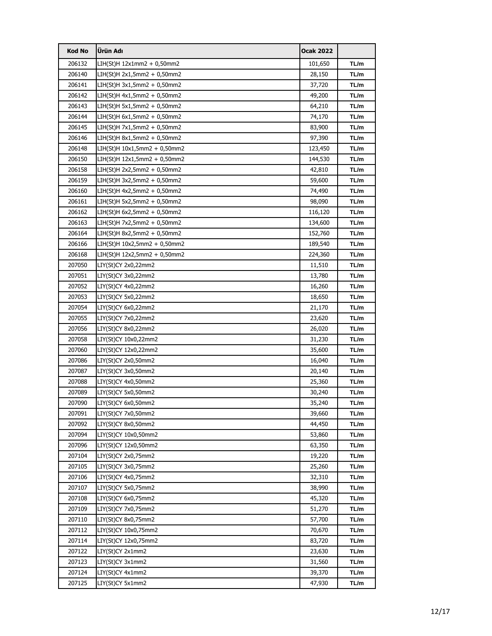| <b>Kod No</b> | Ürün Adı                     | <b>Ocak 2022</b> |      |
|---------------|------------------------------|------------------|------|
| 206132        | LIH(St)H 12x1mm2 + 0,50mm2   | 101,650          | TL/m |
| 206140        | LIH(St)H 2x1,5mm2 + 0,50mm2  | 28,150           | TL/m |
| 206141        | LIH(St)H 3x1,5mm2 + 0,50mm2  | 37,720           | TL/m |
| 206142        | LIH(St)H 4x1,5mm2 + 0,50mm2  | 49,200           | TL/m |
| 206143        | LIH(St)H 5x1,5mm2 + 0,50mm2  | 64,210           | TL/m |
| 206144        | LIH(St)H 6x1,5mm2 + 0,50mm2  | 74,170           | TL/m |
| 206145        | LIH(St)H 7x1,5mm2 + 0,50mm2  | 83,900           | TL/m |
| 206146        | LIH(St)H 8x1,5mm2 + 0,50mm2  | 97,390           | TL/m |
| 206148        | LIH(St)H 10x1,5mm2 + 0,50mm2 | 123,450          | TL/m |
| 206150        | LIH(St)H 12x1,5mm2 + 0,50mm2 | 144,530          | TL/m |
| 206158        | LIH(St)H 2x2,5mm2 + 0,50mm2  | 42,810           | TL/m |
| 206159        | LIH(St)H 3x2,5mm2 + 0,50mm2  | 59,600           | TL/m |
| 206160        | LIH(St)H 4x2,5mm2 + 0,50mm2  | 74,490           | TL/m |
| 206161        | LIH(St)H 5x2,5mm2 + 0,50mm2  | 98,090           | TL/m |
| 206162        | LIH(St)H 6x2,5mm2 + 0,50mm2  | 116,120          | TL/m |
| 206163        | LIH(St)H 7x2,5mm2 + 0,50mm2  | 134,600          | TL/m |
| 206164        | LIH(St)H 8x2,5mm2 + 0,50mm2  | 152,760          | TL/m |
| 206166        | LIH(St)H 10x2,5mm2 + 0,50mm2 | 189,540          | TL/m |
| 206168        | LIH(St)H 12x2,5mm2 + 0,50mm2 | 224,360          | TL/m |
| 207050        | LIY(St)CY 2x0,22mm2          | 11,510           | TL/m |
| 207051        | LIY(St)CY 3x0,22mm2          | 13,780           | TL/m |
| 207052        | LIY(St)CY 4x0,22mm2          | 16,260           | TL/m |
| 207053        | LIY(St)CY 5x0,22mm2          | 18,650           | TL/m |
| 207054        | LIY(St)CY 6x0,22mm2          | 21,170           | TL/m |
| 207055        | LIY(St)CY 7x0,22mm2          | 23,620           | TL/m |
| 207056        | LIY(St)CY 8x0,22mm2          | 26,020           | TL/m |
| 207058        | LIY(St)CY 10x0,22mm2         | 31,230           | TL/m |
| 207060        | LIY(St)CY 12x0,22mm2         | 35,600           | TL/m |
| 207086        | LIY(St)CY 2x0,50mm2          | 16,040           | TL/m |
| 207087        | LIY(St)CY 3x0,50mm2          | 20,140           | TL/m |
| 207088        | LIY(St)CY 4x0,50mm2          | 25,360           | TL/m |
| 207089        | LIY(St)CY 5x0,50mm2          | 30,240           | TL/m |
| 207090        | LIY(St)CY 6x0,50mm2          | 35,240           | TL/m |
| 207091        | LIY(St)CY 7x0,50mm2          | 39,660           | TL/m |
| 207092        | LIY(St)CY 8x0,50mm2          | 44,450           | TL/m |
| 207094        | LIY(St)CY 10x0,50mm2         | 53,860           | TL/m |
| 207096        | LIY(St)CY 12x0,50mm2         | 63,350           | TL/m |
| 207104        | LIY(St)CY 2x0,75mm2          | 19,220           | TL/m |
| 207105        | LIY(St)CY 3x0,75mm2          | 25,260           | TL/m |
| 207106        | LIY(St)CY 4x0,75mm2          | 32,310           | TL/m |
| 207107        | LIY(St)CY 5x0,75mm2          | 38,990           | TL/m |
| 207108        | LIY(St)CY 6x0,75mm2          | 45,320           | TL/m |
| 207109        | LIY(St)CY 7x0,75mm2          | 51,270           | TL/m |
| 207110        | LIY(St)CY 8x0,75mm2          | 57,700           | TL/m |
| 207112        | LIY(St)CY 10x0,75mm2         | 70,670           | TL/m |
| 207114        | LIY(St)CY 12x0,75mm2         | 83,720           | TL/m |
| 207122        | LIY(St)CY 2x1mm2             | 23,630           | TL/m |
| 207123        | LIY(St)CY 3x1mm2             | 31,560           | TL/m |
| 207124        | LIY(St)CY 4x1mm2             | 39,370           | TL/m |
| 207125        | LIY(St)CY 5x1mm2             | 47,930           | TL/m |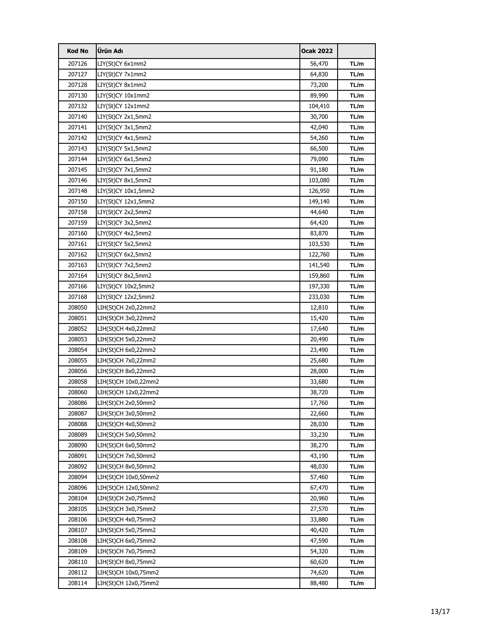| <b>Kod No</b> | Ürün Adı             | <b>Ocak 2022</b> |      |
|---------------|----------------------|------------------|------|
| 207126        | LIY(St)CY 6x1mm2     | 56,470           | TL/m |
| 207127        | LIY(St)CY 7x1mm2     | 64,830           | TL/m |
| 207128        | LIY(St)CY 8x1mm2     | 73,200           | TL/m |
| 207130        | LIY(St)CY 10x1mm2    | 89,990           | TL/m |
| 207132        | LIY(St)CY 12x1mm2    | 104,410          | TL/m |
| 207140        | LIY(St)CY 2x1,5mm2   | 30,700           | TL/m |
| 207141        | LIY(St)CY 3x1,5mm2   | 42,040           | TL/m |
| 207142        | LIY(St)CY 4x1,5mm2   | 54,260           | TL/m |
| 207143        | LIY(St)CY 5x1,5mm2   | 66,500           | TL/m |
| 207144        | LIY(St)CY 6x1,5mm2   | 79,090           | TL/m |
| 207145        | LIY(St)CY 7x1,5mm2   | 91,180           | TL/m |
| 207146        | LIY(St)CY 8x1,5mm2   | 103,080          | TL/m |
| 207148        | LIY(St)CY 10x1,5mm2  | 126,950          | TL/m |
| 207150        | LIY(St)CY 12x1,5mm2  | 149,140          | TL/m |
| 207158        | LIY(St)CY 2x2,5mm2   | 44,640           | TL/m |
| 207159        | LIY(St)CY 3x2,5mm2   | 64,420           | TL/m |
| 207160        | LIY(St)CY 4x2,5mm2   | 83,870           | TL/m |
| 207161        | LIY(St)CY 5x2,5mm2   | 103,530          | TL/m |
| 207162        | LIY(St)CY 6x2,5mm2   | 122,760          | TL/m |
| 207163        | LIY(St)CY 7x2,5mm2   | 141,540          | TL/m |
| 207164        | LIY(St)CY 8x2,5mm2   | 159,860          | TL/m |
| 207166        | LIY(St)CY 10x2,5mm2  | 197,330          | TL/m |
| 207168        | LIY(St)CY 12x2,5mm2  | 233,030          | TL/m |
| 208050        | LIH(St)CH 2x0,22mm2  | 12,810           | TL/m |
| 208051        | LIH(St)CH 3x0,22mm2  | 15,420           | TL/m |
| 208052        | LIH(St)CH 4x0,22mm2  | 17,640           | TL/m |
| 208053        | LIH(St)CH 5x0,22mm2  | 20,490           | TL/m |
| 208054        | LIH(St)CH 6x0,22mm2  | 23,490           | TL/m |
| 208055        | LIH(St)CH 7x0,22mm2  | 25,680           | TL/m |
| 208056        | LIH(St)CH 8x0,22mm2  | 28,000           | TL/m |
| 208058        | LIH(St)CH 10x0,22mm2 | 33,680           | TL/m |
| 208060        | LIH(St)CH 12x0,22mm2 | 38,720           | TL/m |
| 208086        | LIH(St)CH 2x0,50mm2  | 17,760           | TL/m |
| 208087        | LIH(St)CH 3x0,50mm2  | 22,660           | TL/m |
| 208088        | LIH(St)CH 4x0,50mm2  | 28,030           | TL/m |
| 208089        | LIH(St)CH 5x0,50mm2  | 33,230           | TL/m |
| 208090        | LIH(St)CH 6x0,50mm2  | 38,270           | TL/m |
| 208091        | LIH(St)CH 7x0,50mm2  | 43,190           | TL/m |
| 208092        | LIH(St)CH 8x0,50mm2  | 48,030           | TL/m |
| 208094        | LIH(St)CH 10x0,50mm2 | 57,460           | TL/m |
| 208096        | LIH(St)CH 12x0,50mm2 | 67,470           | TL/m |
| 208104        | LIH(St)CH 2x0,75mm2  | 20,960           | TL/m |
| 208105        | LIH(St)CH 3x0,75mm2  | 27,570           | TL/m |
| 208106        | LIH(St)CH 4x0,75mm2  | 33,880           | TL/m |
| 208107        | LIH(St)CH 5x0,75mm2  | 40,420           | TL/m |
| 208108        | LIH(St)CH 6x0,75mm2  | 47,590           | TL/m |
| 208109        | LIH(St)CH 7x0,75mm2  | 54,320           | TL/m |
| 208110        | LIH(St)CH 8x0,75mm2  | 60,620           | TL/m |
| 208112        | LIH(St)CH 10x0,75mm2 | 74,620           | TL/m |
| 208114        | LIH(St)CH 12x0,75mm2 | 88,480           | TL/m |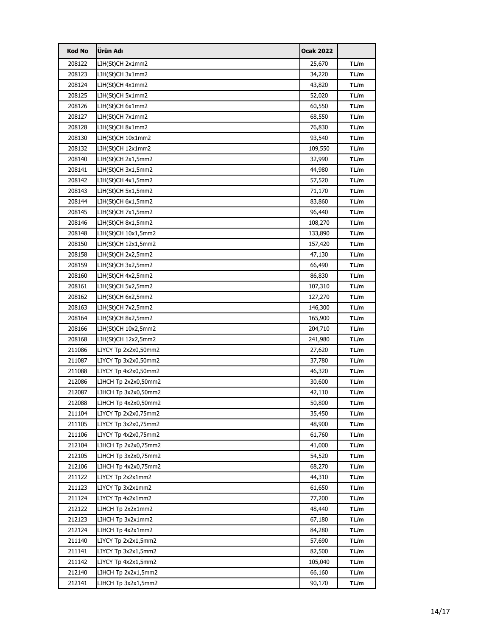| <b>Kod No</b> | Ürün Adı             | <b>Ocak 2022</b> |      |
|---------------|----------------------|------------------|------|
| 208122        | LIH(St)CH 2x1mm2     | 25,670           | TL/m |
| 208123        | LIH(St)CH 3x1mm2     | 34,220           | TL/m |
| 208124        | LIH(St)CH 4x1mm2     | 43,820           | TL/m |
| 208125        | LIH(St)CH 5x1mm2     | 52,020           | TL/m |
| 208126        | LIH(St)CH 6x1mm2     | 60,550           | TL/m |
| 208127        | LIH(St)CH 7x1mm2     | 68,550           | TL/m |
| 208128        | LIH(St)CH 8x1mm2     | 76,830           | TL/m |
| 208130        | LIH(St)CH 10x1mm2    | 93,540           | TL/m |
| 208132        | LIH(St)CH 12x1mm2    | 109,550          | TL/m |
| 208140        | LIH(St)CH 2x1,5mm2   | 32,990           | TL/m |
| 208141        | LIH(St)CH 3x1,5mm2   | 44,980           | TL/m |
| 208142        | LIH(St)CH 4x1,5mm2   | 57,520           | TL/m |
| 208143        | LIH(St)CH 5x1,5mm2   | 71,170           | TL/m |
| 208144        | LIH(St)CH 6x1,5mm2   | 83,860           | TL/m |
| 208145        | LIH(St)CH 7x1,5mm2   | 96,440           | TL/m |
| 208146        | LIH(St)CH 8x1,5mm2   | 108,270          | TL/m |
| 208148        | LIH(St)CH 10x1,5mm2  | 133,890          | TL/m |
| 208150        | LIH(St)CH 12x1,5mm2  | 157,420          | TL/m |
| 208158        | LIH(St)CH 2x2,5mm2   | 47,130           | TL/m |
| 208159        | LIH(St)CH 3x2,5mm2   | 66,490           | TL/m |
| 208160        | LIH(St)CH 4x2,5mm2   | 86,830           | TL/m |
| 208161        | LIH(St)CH 5x2,5mm2   | 107,310          | TL/m |
| 208162        | LIH(St)CH 6x2,5mm2   | 127,270          | TL/m |
| 208163        | LIH(St)CH 7x2,5mm2   | 146,300          | TL/m |
| 208164        | LIH(St)CH 8x2,5mm2   | 165,900          | TL/m |
| 208166        | LIH(St)CH 10x2,5mm2  | 204,710          | TL/m |
| 208168        | LIH(St)CH 12x2,5mm2  | 241,980          | TL/m |
| 211086        | LIYCY Tp 2x2x0,50mm2 | 27,620           | TL/m |
| 211087        | LIYCY Tp 3x2x0,50mm2 | 37,780           | TL/m |
| 211088        | LIYCY Tp 4x2x0,50mm2 | 46,320           | TL/m |
| 212086        | LIHCH Tp 2x2x0,50mm2 | 30,600           | TL/m |
| 212087        | LIHCH Tp 3x2x0,50mm2 | 42,110           | TL/m |
| 212088        | LIHCH Tp 4x2x0,50mm2 | 50,800           | TL/m |
| 211104        | LIYCY Tp 2x2x0,75mm2 | 35,450           | TL/m |
| 211105        | LIYCY Tp 3x2x0,75mm2 | 48,900           | TL/m |
| 211106        | LIYCY Tp 4x2x0,75mm2 | 61,760           | TL/m |
| 212104        | LIHCH Tp 2x2x0,75mm2 | 41,000           | TL/m |
| 212105        | LIHCH Tp 3x2x0,75mm2 | 54,520           | TL/m |
| 212106        | LIHCH Tp 4x2x0,75mm2 | 68,270           | TL/m |
| 211122        | LIYCY Tp 2x2x1mm2    | 44,310           | TL/m |
| 211123        | LIYCY Tp 3x2x1mm2    | 61,650           | TL/m |
| 211124        | LIYCY Tp 4x2x1mm2    | 77,200           | TL/m |
| 212122        | LIHCH Tp 2x2x1mm2    | 48,440           | TL/m |
| 212123        | LIHCH Tp 3x2x1mm2    | 67,180           | TL/m |
| 212124        | LIHCH Tp 4x2x1mm2    | 84,280           | TL/m |
| 211140        | LIYCY Tp 2x2x1,5mm2  | 57,690           | TL/m |
| 211141        | LIYCY Tp 3x2x1,5mm2  | 82,500           | TL/m |
| 211142        | LIYCY Tp 4x2x1,5mm2  | 105,040          | TL/m |
| 212140        | LIHCH Tp 2x2x1,5mm2  | 66,160           | TL/m |
| 212141        | LIHCH Tp 3x2x1,5mm2  | 90,170           | TL/m |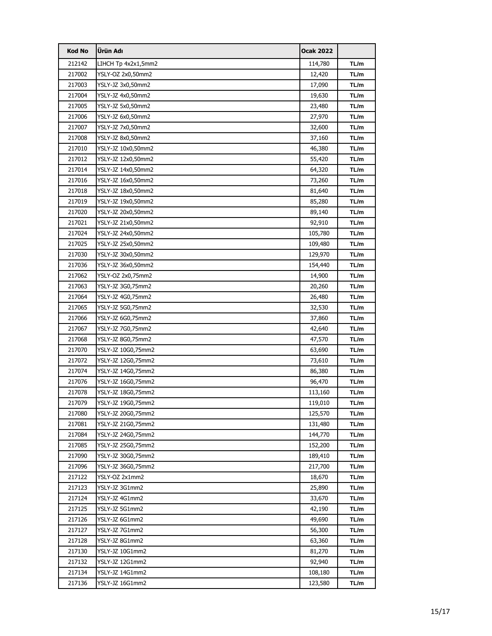| <b>Kod No</b> | <b>Ürün Adı</b>     | <b>Ocak 2022</b> |      |
|---------------|---------------------|------------------|------|
| 212142        | LIHCH Tp 4x2x1,5mm2 | 114,780          | TL/m |
| 217002        | YSLY-OZ 2x0,50mm2   | 12,420           | TL/m |
| 217003        | YSLY-JZ 3x0,50mm2   | 17,090           | TL/m |
| 217004        | YSLY-JZ 4x0,50mm2   | 19,630           | TL/m |
| 217005        | YSLY-JZ 5x0,50mm2   | 23,480           | TL/m |
| 217006        | YSLY-JZ 6x0,50mm2   | 27,970           | TL/m |
| 217007        | YSLY-JZ 7x0,50mm2   | 32,600           | TL/m |
| 217008        | YSLY-JZ 8x0,50mm2   | 37,160           | TL/m |
| 217010        | YSLY-JZ 10x0,50mm2  | 46,380           | TL/m |
| 217012        | YSLY-JZ 12x0,50mm2  | 55,420           | TL/m |
| 217014        | YSLY-JZ 14x0,50mm2  | 64,320           | TL/m |
| 217016        | YSLY-JZ 16x0,50mm2  | 73,260           | TL/m |
| 217018        | YSLY-JZ 18x0,50mm2  | 81,640           | TL/m |
| 217019        | YSLY-JZ 19x0,50mm2  | 85,280           | TL/m |
| 217020        | YSLY-JZ 20x0,50mm2  | 89,140           | TL/m |
| 217021        | YSLY-JZ 21x0,50mm2  | 92,910           | TL/m |
| 217024        | YSLY-JZ 24x0,50mm2  | 105,780          | TL/m |
| 217025        | YSLY-JZ 25x0,50mm2  | 109,480          | TL/m |
| 217030        | YSLY-JZ 30x0,50mm2  | 129,970          | TL/m |
| 217036        | YSLY-JZ 36x0,50mm2  | 154,440          | TL/m |
| 217062        | YSLY-OZ 2x0,75mm2   | 14,900           | TL/m |
| 217063        | YSLY-JZ 3G0,75mm2   | 20,260           | TL/m |
| 217064        | YSLY-JZ 4G0,75mm2   | 26,480           | TL/m |
| 217065        | YSLY-JZ 5G0,75mm2   | 32,530           | TL/m |
| 217066        | YSLY-JZ 6G0,75mm2   | 37,860           | TL/m |
| 217067        | YSLY-JZ 7G0,75mm2   | 42,640           | TL/m |
| 217068        | YSLY-JZ 8G0,75mm2   | 47,570           | TL/m |
| 217070        | YSLY-JZ 10G0,75mm2  | 63,690           | TL/m |
| 217072        | YSLY-JZ 12G0,75mm2  | 73,610           | TL/m |
| 217074        | YSLY-JZ 14G0,75mm2  | 86,380           | TL/m |
| 217076        | YSLY-JZ 16G0,75mm2  | 96,470           | TL/m |
| 217078        | YSLY-JZ 18G0,75mm2  | 113,160          | TL/m |
| 217079        | YSLY-JZ 19G0,75mm2  | 119,010          | TL/m |
| 217080        | YSLY-JZ 20G0,75mm2  | 125,570          | TL/m |
| 217081        | YSLY-JZ 21G0,75mm2  | 131,480          | TL/m |
| 217084        | YSLY-JZ 24G0,75mm2  | 144,770          | TL/m |
| 217085        | YSLY-JZ 25G0,75mm2  | 152,200          | TL/m |
| 217090        | YSLY-JZ 30G0,75mm2  | 189,410          | TL/m |
| 217096        | YSLY-JZ 36G0,75mm2  | 217,700          | TL/m |
| 217122        | YSLY-OZ 2x1mm2      | 18,670           | TL/m |
| 217123        | YSLY-JZ 3G1mm2      | 25,890           | TL/m |
| 217124        | YSLY-JZ 4G1mm2      | 33,670           | TL/m |
| 217125        | YSLY-JZ 5G1mm2      | 42,190           | TL/m |
| 217126        | YSLY-JZ 6G1mm2      | 49,690           | TL/m |
| 217127        | YSLY-JZ 7G1mm2      | 56,300           | TL/m |
| 217128        | YSLY-JZ 8G1mm2      | 63,360           | TL/m |
| 217130        | YSLY-JZ 10G1mm2     | 81,270           | TL/m |
| 217132        | YSLY-JZ 12G1mm2     | 92,940           | TL/m |
| 217134        | YSLY-JZ 14G1mm2     | 108,180          | TL/m |
| 217136        | YSLY-JZ 16G1mm2     | 123,580          | TL/m |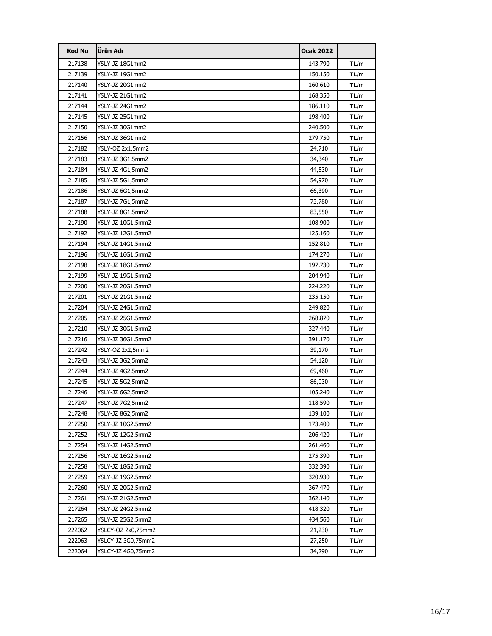| <b>Kod No</b> | Ürün Adı           | <b>Ocak 2022</b> |      |
|---------------|--------------------|------------------|------|
| 217138        | YSLY-JZ 18G1mm2    | 143,790          | TL/m |
| 217139        | YSLY-JZ 19G1mm2    | 150,150          | TL/m |
| 217140        | YSLY-JZ 20G1mm2    | 160,610          | TL/m |
| 217141        | YSLY-JZ 21G1mm2    | 168,350          | TL/m |
| 217144        | YSLY-JZ 24G1mm2    | 186,110          | TL/m |
| 217145        | YSLY-JZ 25G1mm2    | 198,400          | TL/m |
| 217150        | YSLY-JZ 30G1mm2    | 240,500          | TL/m |
| 217156        | YSLY-JZ 36G1mm2    | 279,750          | TL/m |
| 217182        | YSLY-OZ 2x1,5mm2   | 24,710           | TL/m |
| 217183        | YSLY-JZ 3G1,5mm2   | 34,340           | TL/m |
| 217184        | YSLY-JZ 4G1,5mm2   | 44,530           | TL/m |
| 217185        | YSLY-JZ 5G1,5mm2   | 54,970           | TL/m |
| 217186        | YSLY-JZ 6G1,5mm2   | 66,390           | TL/m |
| 217187        | YSLY-JZ 7G1,5mm2   | 73,780           | TL/m |
| 217188        | YSLY-JZ 8G1,5mm2   | 83,550           | TL/m |
| 217190        | YSLY-JZ 10G1,5mm2  | 108,900          | TL/m |
| 217192        | YSLY-JZ 12G1,5mm2  | 125,160          | TL/m |
| 217194        | YSLY-JZ 14G1,5mm2  | 152,810          | TL/m |
| 217196        | YSLY-JZ 16G1,5mm2  | 174,270          | TL/m |
| 217198        | YSLY-JZ 18G1,5mm2  | 197,730          | TL/m |
| 217199        | YSLY-JZ 19G1,5mm2  | 204,940          | TL/m |
| 217200        | YSLY-JZ 20G1,5mm2  | 224,220          | TL/m |
| 217201        | YSLY-JZ 21G1,5mm2  | 235,150          | TL/m |
| 217204        | YSLY-JZ 24G1,5mm2  | 249,820          | TL/m |
| 217205        | YSLY-JZ 25G1,5mm2  | 268,870          | TL/m |
| 217210        | YSLY-JZ 30G1,5mm2  | 327,440          | TL/m |
| 217216        | YSLY-JZ 36G1,5mm2  | 391,170          | TL/m |
| 217242        | YSLY-OZ 2x2,5mm2   | 39,170           | TL/m |
| 217243        | YSLY-JZ 3G2,5mm2   | 54,120           | TL/m |
| 217244        | YSLY-JZ 4G2,5mm2   | 69,460           | TL/m |
| 217245        | YSLY-JZ 5G2,5mm2   | 86,030           | TL/m |
| 217246        | YSLY-JZ 6G2,5mm2   | 105,240          | TL/m |
| 217247        | YSLY-JZ 7G2,5mm2   | 118,590          | TL/m |
| 217248        | YSLY-JZ 8G2,5mm2   | 139,100          | TL/m |
| 217250        | YSLY-JZ 10G2,5mm2  | 173,400          | TL/m |
| 217252        | YSLY-JZ 12G2,5mm2  | 206,420          | TL/m |
| 217254        | YSLY-JZ 14G2,5mm2  | 261,460          | TL/m |
| 217256        | YSLY-JZ 16G2,5mm2  | 275,390          | TL/m |
| 217258        | YSLY-JZ 18G2,5mm2  | 332,390          | TL/m |
| 217259        | YSLY-JZ 19G2,5mm2  | 320,930          | TL/m |
| 217260        | YSLY-JZ 20G2,5mm2  | 367,470          | TL/m |
| 217261        | YSLY-JZ 21G2,5mm2  | 362,140          | TL/m |
| 217264        | YSLY-JZ 24G2,5mm2  | 418,320          | TL/m |
| 217265        | YSLY-JZ 25G2,5mm2  | 434,560          | TL/m |
| 222062        | YSLCY-OZ 2x0,75mm2 | 21,230           | TL/m |
| 222063        | YSLCY-JZ 3G0,75mm2 | 27,250           | TL/m |
| 222064        | YSLCY-JZ 4G0,75mm2 | 34,290           | TL/m |